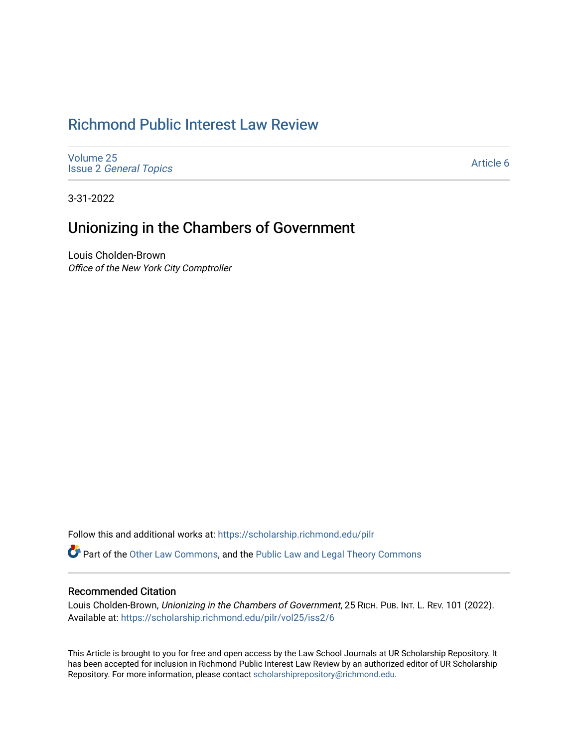# [Richmond Public Interest Law Review](https://scholarship.richmond.edu/pilr)

[Volume 25](https://scholarship.richmond.edu/pilr/vol25) Issue 2 [General Topics](https://scholarship.richmond.edu/pilr/vol25/iss2) 

[Article 6](https://scholarship.richmond.edu/pilr/vol25/iss2/6) 

3-31-2022

# Unionizing in the Chambers of Government

Louis Cholden-Brown Office of the New York City Comptroller

Follow this and additional works at: [https://scholarship.richmond.edu/pilr](https://scholarship.richmond.edu/pilr?utm_source=scholarship.richmond.edu%2Fpilr%2Fvol25%2Fiss2%2F6&utm_medium=PDF&utm_campaign=PDFCoverPages) 

Part of the [Other Law Commons,](http://network.bepress.com/hgg/discipline/621?utm_source=scholarship.richmond.edu%2Fpilr%2Fvol25%2Fiss2%2F6&utm_medium=PDF&utm_campaign=PDFCoverPages) and the [Public Law and Legal Theory Commons](http://network.bepress.com/hgg/discipline/871?utm_source=scholarship.richmond.edu%2Fpilr%2Fvol25%2Fiss2%2F6&utm_medium=PDF&utm_campaign=PDFCoverPages) 

# Recommended Citation

Louis Cholden-Brown, Unionizing in the Chambers of Government, 25 RICH. PUB. INT. L. REV. 101 (2022). Available at: [https://scholarship.richmond.edu/pilr/vol25/iss2/6](https://scholarship.richmond.edu/pilr/vol25/iss2/6?utm_source=scholarship.richmond.edu%2Fpilr%2Fvol25%2Fiss2%2F6&utm_medium=PDF&utm_campaign=PDFCoverPages)

This Article is brought to you for free and open access by the Law School Journals at UR Scholarship Repository. It has been accepted for inclusion in Richmond Public Interest Law Review by an authorized editor of UR Scholarship Repository. For more information, please contact [scholarshiprepository@richmond.edu](mailto:scholarshiprepository@richmond.edu).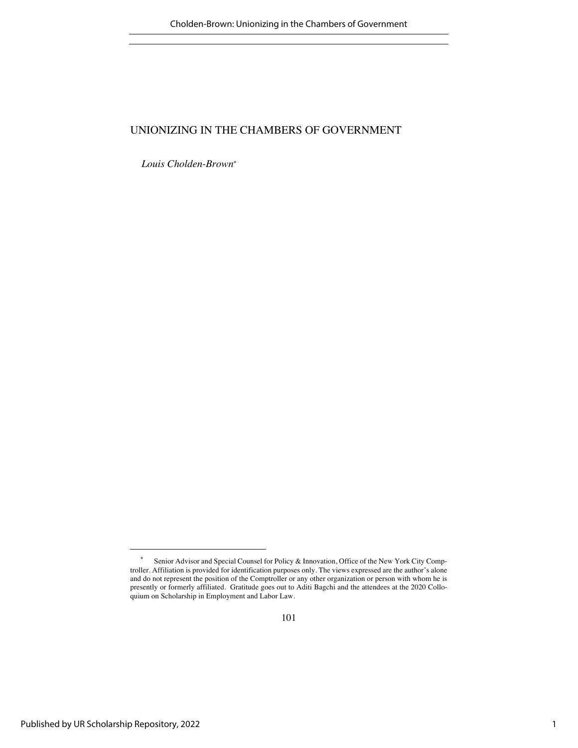*Louis Cholden-Brown\**

<sup>\*</sup> Senior Advisor and Special Counsel for Policy & Innovation, Office of the New York City Comptroller. Affiliation is provided for identification purposes only. The views expressed are the author's alone and do not represent the position of the Comptroller or any other organization or person with whom he is presently or formerly affiliated. Gratitude goes out to Aditi Bagchi and the attendees at the 2020 Colloquium on Scholarship in Employment and Labor Law.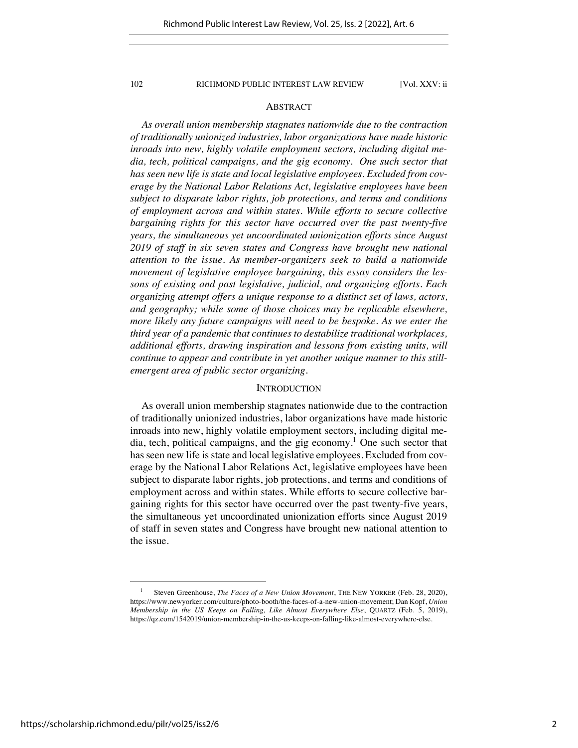# ABSTRACT

*As overall union membership stagnates nationwide due to the contraction of traditionally unionized industries, labor organizations have made historic inroads into new, highly volatile employment sectors, including digital media, tech, political campaigns, and the gig economy. One such sector that has seen new life is state and local legislative employees. Excluded from coverage by the National Labor Relations Act, legislative employees have been subject to disparate labor rights, job protections, and terms and conditions of employment across and within states. While efforts to secure collective bargaining rights for this sector have occurred over the past twenty-five years, the simultaneous yet uncoordinated unionization efforts since August 2019 of staff in six seven states and Congress have brought new national attention to the issue. As member-organizers seek to build a nationwide movement of legislative employee bargaining, this essay considers the lessons of existing and past legislative, judicial, and organizing efforts. Each organizing attempt offers a unique response to a distinct set of laws, actors, and geography; while some of those choices may be replicable elsewhere, more likely any future campaigns will need to be bespoke. As we enter the third year of a pandemic that continues to destabilize traditional workplaces, additional efforts, drawing inspiration and lessons from existing units, will continue to appear and contribute in yet another unique manner to this stillemergent area of public sector organizing.*

# **INTRODUCTION**

As overall union membership stagnates nationwide due to the contraction of traditionally unionized industries, labor organizations have made historic inroads into new, highly volatile employment sectors, including digital media, tech, political campaigns, and the gig economy.<sup>1</sup> One such sector that has seen new life is state and local legislative employees. Excluded from coverage by the National Labor Relations Act, legislative employees have been subject to disparate labor rights, job protections, and terms and conditions of employment across and within states. While efforts to secure collective bargaining rights for this sector have occurred over the past twenty-five years, the simultaneous yet uncoordinated unionization efforts since August 2019 of staff in seven states and Congress have brought new national attention to the issue.

<sup>&</sup>lt;sup>1</sup> Steven Greenhouse, *The Faces of a New Union Movement*, THE NEW YORKER (Feb. 28, 2020), https://www.newyorker.com/culture/photo-booth/the-faces-of-a-new-union-movement; Dan Kopf, *Union Membership in the US Keeps on Falling, Like Almost Everywhere Else*, QUARTZ (Feb. 5, 2019), https://qz.com/1542019/union-membership-in-the-us-keeps-on-falling-like-almost-everywhere-else.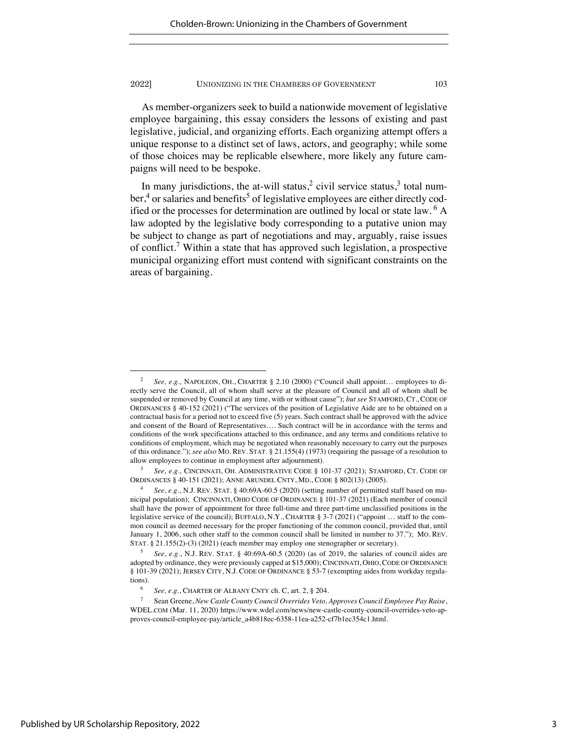As member-organizers seek to build a nationwide movement of legislative employee bargaining, this essay considers the lessons of existing and past legislative, judicial, and organizing efforts. Each organizing attempt offers a unique response to a distinct set of laws, actors, and geography; while some of those choices may be replicable elsewhere, more likely any future campaigns will need to be bespoke.

In many jurisdictions, the at-will status,<sup>2</sup> civil service status,<sup>3</sup> total num $ber<sup>4</sup>$  or salaries and benefits<sup>5</sup> of legislative employees are either directly codified or the processes for determination are outlined by local or state law.  $6 \text{ A}$ law adopted by the legislative body corresponding to a putative union may be subject to change as part of negotiations and may, arguably, raise issues of conflict.<sup>7</sup> Within a state that has approved such legislation, a prospective municipal organizing effort must contend with significant constraints on the areas of bargaining.

<sup>&</sup>lt;sup>2</sup> *See, e.g., NAPOLEON, OH., CHARTER §* 2.10 (2000) ("Council shall appoint... employees to directly serve the Council, all of whom shall serve at the pleasure of Council and all of whom shall be suspended or removed by Council at any time, with or without cause"); *but see* STAMFORD, CT., CODE OF ORDINANCES § 40-152 (2021) ("The services of the position of Legislative Aide are to be obtained on a contractual basis for a period not to exceed five (5) years. Such contract shall be approved with the advice and consent of the Board of Representatives…. Such contract will be in accordance with the terms and conditions of the work specifications attached to this ordinance, and any terms and conditions relative to conditions of employment, which may be negotiated when reasonably necessary to carry out the purposes of this ordinance."); *see also* MO. REV. STAT. § 21.155(4) (1973) (requiring the passage of a resolution to allow employees to continue in employment after adjournment).

<sup>3</sup> *See, e.g.,* CINCINNATI, OH. ADMINISTRATIVE CODE § 101-37 (2021); STAMFORD, CT. CODE OF ORDINANCES § 40-151 (2021); ANNE ARUNDEL CNTY, MD., CODE § 802(13) (2005).

<sup>4</sup> *See*, *e.g.*, N.J. REV. STAT. § 40:69A-60.5 (2020) (setting number of permitted staff based on municipal population); CINCINNATI, OHIO CODE OF ORDINANCE § 101-37 (2021) (Each member of council shall have the power of appointment for three full-time and three part-time unclassified positions in the legislative service of the council); BUFFALO, N.Y., CHARTER § 3-7 (2021) ("appoint … staff to the common council as deemed necessary for the proper functioning of the common council, provided that, until January 1, 2006, such other staff to the common council shall be limited in number to 37."); MO. REV. STAT. § 21.155(2)-(3) (2021) (each member may employ one stenographer or secretary).

<sup>5</sup> *See*, *e.g.*, N.J. REV. STAT. § 40:69A-60.5 (2020) (as of 2019, the salaries of council aides are adopted by ordinance, they were previously capped at \$15,000); CINCINNATI, OHIO, CODE OF ORDINANCE § 101-39 (2021); JERSEY CITY, N.J. CODE OF ORDINANCE § 53-7 (exempting aides from workday regulations).<br> $6$ 

See, e.g., CHARTER OF ALBANY CNTY ch. C, art. 2, § 204.

<sup>7</sup> Sean Greene, *New Castle County Council Overrides Veto, Approves Council Employee Pay Raise*, WDEL.COM (Mar. 11, 2020) https://www.wdel.com/news/new-castle-county-council-overrides-veto-approves-council-employee-pay/article\_a4b818ec-6358-11ea-a252-cf7b1ec354c1.html.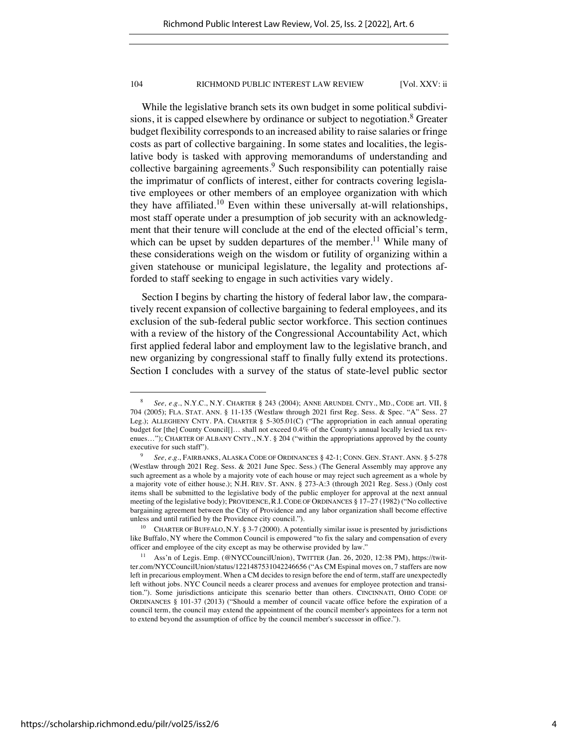While the legislative branch sets its own budget in some political subdivisions, it is capped elsewhere by ordinance or subject to negotiation.<sup>8</sup> Greater budget flexibility corresponds to an increased ability to raise salaries or fringe costs as part of collective bargaining. In some states and localities, the legislative body is tasked with approving memorandums of understanding and collective bargaining agreements.<sup>9</sup> Such responsibility can potentially raise the imprimatur of conflicts of interest, either for contracts covering legislative employees or other members of an employee organization with which they have affiliated.<sup>10</sup> Even within these universally at-will relationships, most staff operate under a presumption of job security with an acknowledgment that their tenure will conclude at the end of the elected official's term, which can be upset by sudden departures of the member.<sup>11</sup> While many of these considerations weigh on the wisdom or futility of organizing within a given statehouse or municipal legislature, the legality and protections afforded to staff seeking to engage in such activities vary widely.

Section I begins by charting the history of federal labor law, the comparatively recent expansion of collective bargaining to federal employees, and its exclusion of the sub-federal public sector workforce. This section continues with a review of the history of the Congressional Accountability Act, which first applied federal labor and employment law to the legislative branch, and new organizing by congressional staff to finally fully extend its protections. Section I concludes with a survey of the status of state-level public sector

<sup>8</sup> *See, e.g.*, N.Y.C., N.Y. CHARTER § 243 (2004); ANNE ARUNDEL CNTY., MD., CODE art. VII, § 704 (2005); FLA. STAT. ANN. § 11-135 (Westlaw through 2021 first Reg. Sess. & Spec. "A" Sess. 27 Leg.); ALLEGHENY CNTY. PA. CHARTER § 5-305.01(C) ("The appropriation in each annual operating budget for [the] County Council[]… shall not exceed 0.4% of the County's annual locally levied tax revenues…"); CHARTER OF ALBANY CNTY., N.Y. § 204 ("within the appropriations approved by the county executive for such staff").

<sup>9</sup> *See, e.g.*, FAIRBANKS, ALASKA CODE OF ORDINANCES § 42-1; CONN. GEN. STANT. ANN. § 5-278 (Westlaw through 2021 Reg. Sess. & 2021 June Spec. Sess.) (The General Assembly may approve any such agreement as a whole by a majority vote of each house or may reject such agreement as a whole by a majority vote of either house.); N.H. REV. ST. ANN. § 273-A:3 (through 2021 Reg. Sess.) (Only cost items shall be submitted to the legislative body of the public employer for approval at the next annual meeting of the legislative body); PROVIDENCE, R.I. CODE OF ORDINANCES § 17–27 (1982) ("No collective bargaining agreement between the City of Providence and any labor organization shall become effective unless and until ratified by the Providence city council.").

<sup>&</sup>lt;sup>10</sup> CHARTER OF BUFFALO, N.Y. § 3-7 (2000). A potentially similar issue is presented by jurisdictions like Buffalo, NY where the Common Council is empowered "to fix the salary and compensation of every officer and employee of the city except as may be otherwise provided by law."

<sup>11</sup> Ass'n of Legis. Emp. (@NYCCouncilUnion), TWITTER (Jan. 26, 2020, 12:38 PM), https://twitter.com/NYCCouncilUnion/status/1221487531042246656 ("As CM Espinal moves on, 7 staffers are now left in precarious employment. When a CM decides to resign before the end of term, staff are unexpectedly left without jobs. NYC Council needs a clearer process and avenues for employee protection and transition."). Some jurisdictions anticipate this scenario better than others. CINCINNATI, OHIO CODE OF ORDINANCES § 101-37 (2013) ("Should a member of council vacate office before the expiration of a council term, the council may extend the appointment of the council member's appointees for a term not to extend beyond the assumption of office by the council member's successor in office.").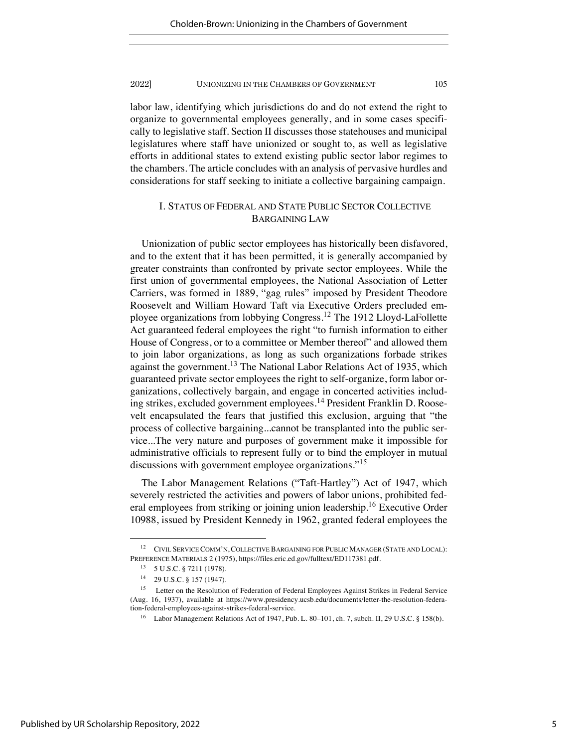labor law, identifying which jurisdictions do and do not extend the right to organize to governmental employees generally, and in some cases specifically to legislative staff. Section II discusses those statehouses and municipal legislatures where staff have unionized or sought to, as well as legislative efforts in additional states to extend existing public sector labor regimes to the chambers. The article concludes with an analysis of pervasive hurdles and considerations for staff seeking to initiate a collective bargaining campaign.

# I. STATUS OF FEDERAL AND STATE PUBLIC SECTOR COLLECTIVE BARGAINING LAW

Unionization of public sector employees has historically been disfavored, and to the extent that it has been permitted, it is generally accompanied by greater constraints than confronted by private sector employees. While the first union of governmental employees, the National Association of Letter Carriers, was formed in 1889, "gag rules" imposed by President Theodore Roosevelt and William Howard Taft via Executive Orders precluded employee organizations from lobbying Congress.<sup>12</sup> The 1912 Lloyd-LaFollette Act guaranteed federal employees the right "to furnish information to either House of Congress, or to a committee or Member thereof" and allowed them to join labor organizations, as long as such organizations forbade strikes against the government.<sup>13</sup> The National Labor Relations Act of 1935, which guaranteed private sector employees the right to self-organize, form labor organizations, collectively bargain, and engage in concerted activities including strikes, excluded government employees.<sup>14</sup> President Franklin D. Roosevelt encapsulated the fears that justified this exclusion, arguing that "the process of collective bargaining...cannot be transplanted into the public service...The very nature and purposes of government make it impossible for administrative officials to represent fully or to bind the employer in mutual discussions with government employee organizations."<sup>15</sup>

The Labor Management Relations ("Taft-Hartley") Act of 1947, which severely restricted the activities and powers of labor unions, prohibited federal employees from striking or joining union leadership.<sup>16</sup> Executive Order 10988, issued by President Kennedy in 1962, granted federal employees the

<sup>12</sup> CIVIL SERVICE COMM'N, COLLECTIVE BARGAINING FOR PUBLIC MANAGER (STATE AND LOCAL): PREFERENCE MATERIALS 2 (1975), https://files.eric.ed.gov/fulltext/ED117381.pdf.

 $13$  5 U.S.C. § 7211 (1978).

<sup>14</sup> 29 U.S.C. § 157 (1947).

<sup>&</sup>lt;sup>15</sup> Letter on the Resolution of Federation of Federal Employees Against Strikes in Federal Service (Aug. 16, 1937), available at https://www.presidency.ucsb.edu/documents/letter-the-resolution-federation-federal-employees-against-strikes-federal-service.

<sup>&</sup>lt;sup>16</sup> Labor Management Relations Act of 1947, Pub. L. 80-101, ch. 7, subch. II, 29 U.S.C. § 158(b).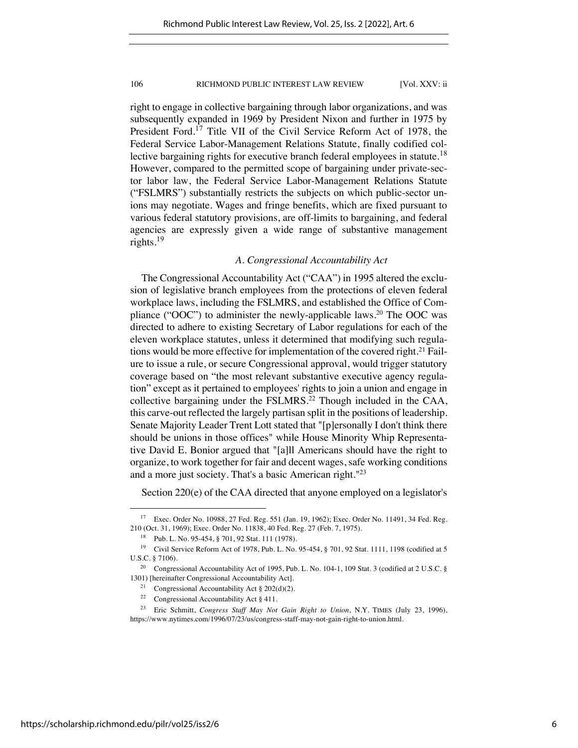right to engage in collective bargaining through labor organizations, and was subsequently expanded in 1969 by President Nixon and further in 1975 by President Ford.<sup>17</sup> Title VII of the Civil Service Reform Act of 1978, the Federal Service Labor-Management Relations Statute, finally codified collective bargaining rights for executive branch federal employees in statute.<sup>18</sup> However, compared to the permitted scope of bargaining under private-sector labor law, the Federal Service Labor-Management Relations Statute ("FSLMRS") substantially restricts the subjects on which public-sector unions may negotiate. Wages and fringe benefits, which are fixed pursuant to various federal statutory provisions, are off-limits to bargaining, and federal agencies are expressly given a wide range of substantive management rights.<sup>19</sup>

# *A. Congressional Accountability Act*

The Congressional Accountability Act ("CAA") in 1995 altered the exclusion of legislative branch employees from the protections of eleven federal workplace laws, including the FSLMRS, and established the Office of Compliance ("OOC") to administer the newly-applicable laws.<sup>20</sup> The OOC was directed to adhere to existing Secretary of Labor regulations for each of the eleven workplace statutes, unless it determined that modifying such regulations would be more effective for implementation of the covered right.<sup>21</sup> Failure to issue a rule, or secure Congressional approval, would trigger statutory coverage based on "the most relevant substantive executive agency regulation" except as it pertained to employees' rights to join a union and engage in collective bargaining under the FSLMRS.<sup>22</sup> Though included in the CAA, this carve-out reflected the largely partisan split in the positions of leadership. Senate Majority Leader Trent Lott stated that "[p]ersonally I don't think there should be unions in those offices" while House Minority Whip Representative David E. Bonior argued that "[a]ll Americans should have the right to organize, to work together for fair and decent wages, safe working conditions and a more just society. That's a basic American right."23

Section 220(e) of the CAA directed that anyone employed on a legislator's

<sup>17</sup> Exec. Order No. 10988, 27 Fed. Reg. 551 (Jan. 19, 1962); Exec. Order No. 11491, 34 Fed. Reg. 210 (Oct. 31, 1969); Exec. Order No. 11838, 40 Fed. Reg. 27 (Feb. 7, 1975).

<sup>18</sup> Pub. L. No. 95-454, § 701, 92 Stat. 111 (1978).

<sup>19</sup> Civil Service Reform Act of 1978, Pub. L. No. 95-454, § 701, 92 Stat. 1111, 1198 (codified at 5 U.S.C. § 7106).

<sup>&</sup>lt;sup>20</sup> Congressional Accountability Act of 1995, Pub. L. No. 104-1, 109 Stat. 3 (codified at 2 U.S.C. § 1301) [hereinafter Congressional Accountability Act].

<sup>&</sup>lt;sup>21</sup> Congressional Accountability Act § 202(d)(2).

<sup>&</sup>lt;sup>22</sup> Congressional Accountability Act  $\S$  411.

<sup>23</sup> Eric Schmitt, *Congress Staff May Not Gain Right to Union*, N.Y. TIMES (July 23, 1996), https://www.nytimes.com/1996/07/23/us/congress-staff-may-not-gain-right-to-union.html.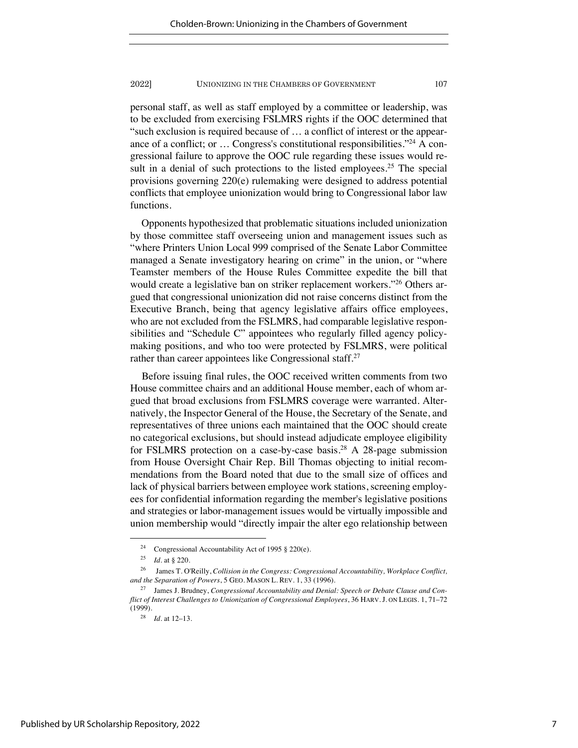personal staff, as well as staff employed by a committee or leadership, was to be excluded from exercising FSLMRS rights if the OOC determined that "such exclusion is required because of … a conflict of interest or the appearance of a conflict; or … Congress's constitutional responsibilities."24 A congressional failure to approve the OOC rule regarding these issues would result in a denial of such protections to the listed employees.<sup>25</sup> The special provisions governing 220(e) rulemaking were designed to address potential conflicts that employee unionization would bring to Congressional labor law functions.

Opponents hypothesized that problematic situations included unionization by those committee staff overseeing union and management issues such as "where Printers Union Local 999 comprised of the Senate Labor Committee managed a Senate investigatory hearing on crime" in the union, or "where Teamster members of the House Rules Committee expedite the bill that would create a legislative ban on striker replacement workers."<sup>26</sup> Others argued that congressional unionization did not raise concerns distinct from the Executive Branch, being that agency legislative affairs office employees, who are not excluded from the FSLMRS, had comparable legislative responsibilities and "Schedule C" appointees who regularly filled agency policymaking positions, and who too were protected by FSLMRS, were political rather than career appointees like Congressional staff.<sup>27</sup>

Before issuing final rules, the OOC received written comments from two House committee chairs and an additional House member, each of whom argued that broad exclusions from FSLMRS coverage were warranted. Alternatively, the Inspector General of the House, the Secretary of the Senate, and representatives of three unions each maintained that the OOC should create no categorical exclusions, but should instead adjudicate employee eligibility for FSLMRS protection on a case-by-case basis.28 A 28-page submission from House Oversight Chair Rep. Bill Thomas objecting to initial recommendations from the Board noted that due to the small size of offices and lack of physical barriers between employee work stations, screening employees for confidential information regarding the member's legislative positions and strategies or labor-management issues would be virtually impossible and union membership would "directly impair the alter ego relationship between

<sup>24</sup> Congressional Accountability Act of 1995 § 220(e).

<sup>25</sup> *Id*. at § 220.

<sup>26</sup> James T. O'Reilly, *Collision in the Congress: Congressional Accountability, Workplace Conflict, and the Separation of Powers*, 5 GEO. MASON L. REV. 1, 33 (1996).

<sup>27</sup> James J. Brudney, *Congressional Accountability and Denial: Speech or Debate Clause and Conflict of Interest Challenges to Unionization of Congressional Employees*, 36 HARV. J. ON LEGIS. 1, 71–72  $(1999)$ .

<sup>28</sup> *Id.* at 12–13.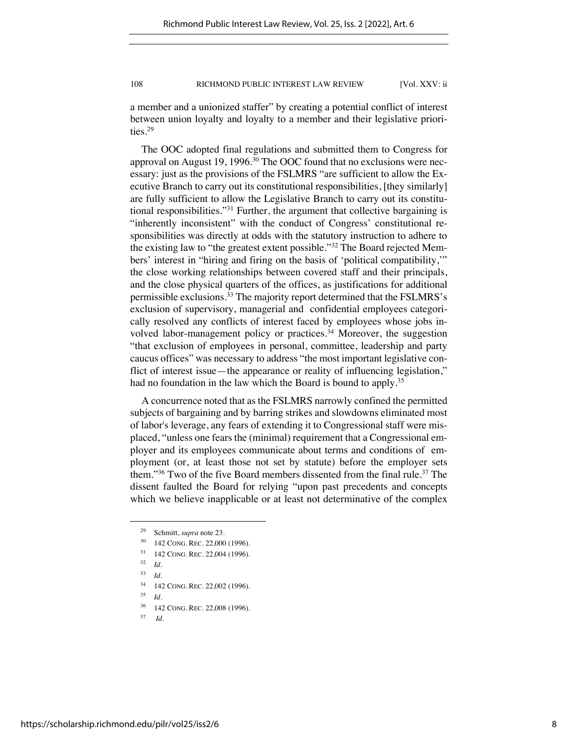a member and a unionized staffer" by creating a potential conflict of interest between union loyalty and loyalty to a member and their legislative priorities.29

The OOC adopted final regulations and submitted them to Congress for approval on August 19, 1996.<sup>30</sup> The OOC found that no exclusions were necessary: just as the provisions of the FSLMRS "are sufficient to allow the Executive Branch to carry out its constitutional responsibilities, [they similarly] are fully sufficient to allow the Legislative Branch to carry out its constitutional responsibilities."31 Further, the argument that collective bargaining is "inherently inconsistent" with the conduct of Congress' constitutional responsibilities was directly at odds with the statutory instruction to adhere to the existing law to "the greatest extent possible."32 The Board rejected Members' interest in "hiring and firing on the basis of 'political compatibility,'" the close working relationships between covered staff and their principals, and the close physical quarters of the offices, as justifications for additional permissible exclusions.33 The majority report determined that the FSLMRS's exclusion of supervisory, managerial and confidential employees categorically resolved any conflicts of interest faced by employees whose jobs involved labor-management policy or practices.<sup>34</sup> Moreover, the suggestion "that exclusion of employees in personal, committee, leadership and party caucus offices" was necessary to address "the most important legislative conflict of interest issue—the appearance or reality of influencing legislation," had no foundation in the law which the Board is bound to apply.<sup>35</sup>

A concurrence noted that as the FSLMRS narrowly confined the permitted subjects of bargaining and by barring strikes and slowdowns eliminated most of labor's leverage, any fears of extending it to Congressional staff were misplaced, "unless one fears the (minimal) requirement that a Congressional employer and its employees communicate about terms and conditions of employment (or, at least those not set by statute) before the employer sets them."<sup>36</sup> Two of the five Board members dissented from the final rule.<sup>37</sup> The dissent faulted the Board for relying "upon past precedents and concepts which we believe inapplicable or at least not determinative of the complex

- <sup>30</sup> 142 CONG. REC. 22,000 (1996).
- <sup>31</sup> 142 CONG. REC. 22,004 (1996).
- $32 \, Id.$
- <sup>33</sup> *Id.*
- <sup>34</sup> 142 CONG. REC. 22,002 (1996).
- <sup>35</sup> *Id.*
- <sup>36</sup> 142 CONG. REC. 22,008 (1996).
- <sup>37</sup> *Id.*

<sup>29</sup> Schmitt, *supra* note 23.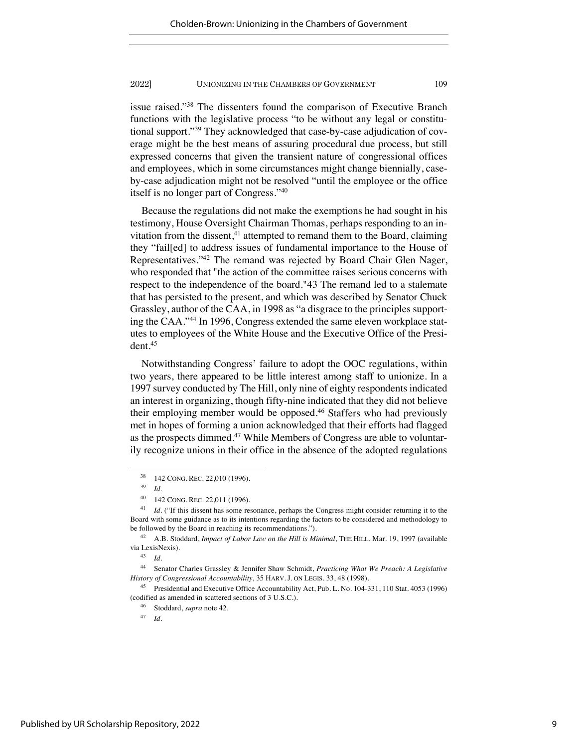issue raised."38 The dissenters found the comparison of Executive Branch functions with the legislative process "to be without any legal or constitutional support."39 They acknowledged that case-by-case adjudication of coverage might be the best means of assuring procedural due process, but still expressed concerns that given the transient nature of congressional offices and employees, which in some circumstances might change biennially, caseby-case adjudication might not be resolved "until the employee or the office itself is no longer part of Congress."40

Because the regulations did not make the exemptions he had sought in his testimony, House Oversight Chairman Thomas, perhaps responding to an invitation from the dissent, $41$  attempted to remand them to the Board, claiming they "fail[ed] to address issues of fundamental importance to the House of Representatives."42 The remand was rejected by Board Chair Glen Nager, who responded that "the action of the committee raises serious concerns with respect to the independence of the board."43 The remand led to a stalemate that has persisted to the present, and which was described by Senator Chuck Grassley, author of the CAA, in 1998 as "a disgrace to the principles supporting the CAA."44 In 1996, Congress extended the same eleven workplace statutes to employees of the White House and the Executive Office of the President.45

Notwithstanding Congress' failure to adopt the OOC regulations, within two years, there appeared to be little interest among staff to unionize. In a 1997 survey conducted by The Hill, only nine of eighty respondents indicated an interest in organizing, though fifty-nine indicated that they did not believe their employing member would be opposed.<sup>46</sup> Staffers who had previously met in hopes of forming a union acknowledged that their efforts had flagged as the prospects dimmed.47 While Members of Congress are able to voluntarily recognize unions in their office in the absence of the adopted regulations

<sup>38</sup> 142 CONG. REC. 22,010 (1996).

<sup>39</sup> *Id.*

<sup>40</sup> 142 CONG. REC. 22,011 (1996).

<sup>&</sup>lt;sup>41</sup> *Id.* ("If this dissent has some resonance, perhaps the Congress might consider returning it to the Board with some guidance as to its intentions regarding the factors to be considered and methodology to be followed by the Board in reaching its recommendations.").

<sup>42</sup> A.B. Stoddard, *Impact of Labor Law on the Hill is Minimal*, THE HILL, Mar. 19, 1997 (available via LexisNexis).

<sup>43</sup> *Id.*

<sup>44</sup> Senator Charles Grassley & Jennifer Shaw Schmidt, *Practicing What We Preach: A Legislative History of Congressional Accountability*, 35 HARV. J. ON LEGIS. 33, 48 (1998).

<sup>45</sup> Presidential and Executive Office Accountability Act, Pub. L. No. 104-331, 110 Stat. 4053 (1996) (codified as amended in scattered sections of 3 U.S.C.).

<sup>46</sup> Stoddard, *supra* note 42.

<sup>47</sup> *Id.*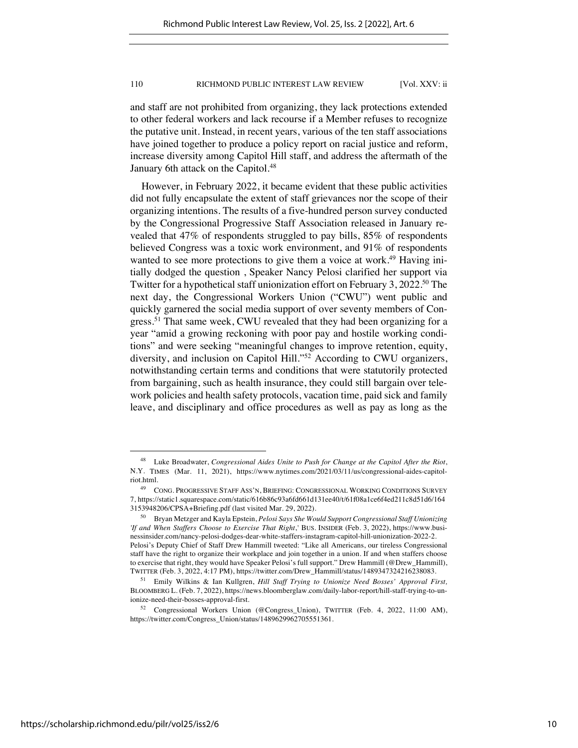and staff are not prohibited from organizing, they lack protections extended to other federal workers and lack recourse if a Member refuses to recognize the putative unit. Instead, in recent years, various of the ten staff associations have joined together to produce a policy report on racial justice and reform, increase diversity among Capitol Hill staff, and address the aftermath of the January 6th attack on the Capitol.<sup>48</sup>

However, in February 2022, it became evident that these public activities did not fully encapsulate the extent of staff grievances nor the scope of their organizing intentions. The results of a five-hundred person survey conducted by the Congressional Progressive Staff Association released in January revealed that 47% of respondents struggled to pay bills, 85% of respondents believed Congress was a toxic work environment, and 91% of respondents wanted to see more protections to give them a voice at work.<sup>49</sup> Having initially dodged the question , Speaker Nancy Pelosi clarified her support via Twitter for a hypothetical staff unionization effort on February 3, 2022.<sup>50</sup> The next day, the Congressional Workers Union ("CWU") went public and quickly garnered the social media support of over seventy members of Congress.51 That same week, CWU revealed that they had been organizing for a year "amid a growing reckoning with poor pay and hostile working conditions" and were seeking "meaningful changes to improve retention, equity, diversity, and inclusion on Capitol Hill."52 According to CWU organizers, notwithstanding certain terms and conditions that were statutorily protected from bargaining, such as health insurance, they could still bargain over telework policies and health safety protocols, vacation time, paid sick and family leave, and disciplinary and office procedures as well as pay as long as the

<sup>48</sup> Luke Broadwater, *Congressional Aides Unite to Push for Change at the Capitol After the Riot*, N.Y. TIMES (Mar. 11, 2021), https://www.nytimes.com/2021/03/11/us/congressional-aides-capitolriot.html.

<sup>49</sup> CONG. PROGRESSIVE STAFF ASS'N, BRIEFING: CONGRESSIONAL WORKING CONDITIONS SURVEY 7, https://static1.squarespace.com/static/616b86c93a6fd661d131ee40/t/61f08a1ce6f4ed211c8d51d6/164 3153948206/CPSA+Briefing.pdf (last visited Mar. 29, 2022).

<sup>50</sup> Bryan Metzger and Kayla Epstein, *Pelosi Says She Would Support Congressional Staff Unionizing 'If and When Staffers Choose to Exercise That Right*,*'* BUS. INSIDER (Feb. 3, 2022), https://www.businessinsider.com/nancy-pelosi-dodges-dear-white-staffers-instagram-capitol-hill-unionization-2022-2. Pelosi's Deputy Chief of Staff Drew Hammill tweeted: "Like all Americans, our tireless Congressional staff have the right to organize their workplace and join together in a union. If and when staffers choose to exercise that right, they would have Speaker Pelosi's full support." Drew Hammill (@Drew\_Hammill), TWITTER (Feb. 3, 2022, 4:17 PM), https://twitter.com/Drew\_Hammill/status/1489347324216238083.

<sup>51</sup> Emily Wilkins & Ian Kullgren, *Hill Staff Trying to Unionize Need Bosses' Approval First,* BLOOMBERG L. (Feb. 7, 2022), https://news.bloomberglaw.com/daily-labor-report/hill-staff-trying-to-unionize-need-their-bosses-approval-first.

<sup>52</sup> Congressional Workers Union (@Congress\_Union), TWITTER (Feb. 4, 2022, 11:00 AM), https://twitter.com/Congress\_Union/status/1489629962705551361.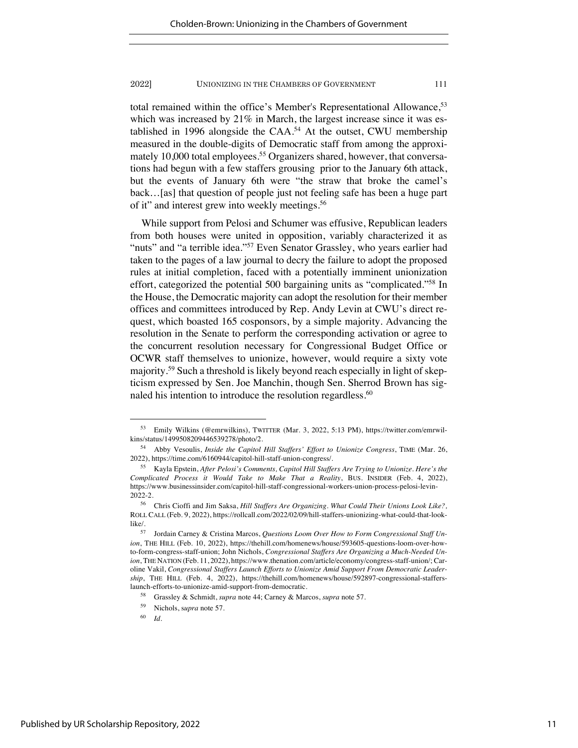total remained within the office's Member's Representational Allowance.<sup>53</sup> which was increased by 21% in March, the largest increase since it was established in 1996 alongside the  $CAA$ <sup>54</sup> At the outset, CWU membership measured in the double-digits of Democratic staff from among the approximately 10,000 total employees.<sup>55</sup> Organizers shared, however, that conversations had begun with a few staffers grousing prior to the January 6th attack, but the events of January 6th were "the straw that broke the camel's back…[as] that question of people just not feeling safe has been a huge part of it" and interest grew into weekly meetings.56

While support from Pelosi and Schumer was effusive, Republican leaders from both houses were united in opposition, variably characterized it as "nuts" and "a terrible idea."<sup>57</sup> Even Senator Grassley, who years earlier had taken to the pages of a law journal to decry the failure to adopt the proposed rules at initial completion, faced with a potentially imminent unionization effort, categorized the potential 500 bargaining units as "complicated."58 In the House, the Democratic majority can adopt the resolution for their member offices and committees introduced by Rep. Andy Levin at CWU's direct request, which boasted 165 cosponsors, by a simple majority. Advancing the resolution in the Senate to perform the corresponding activation or agree to the concurrent resolution necessary for Congressional Budget Office or OCWR staff themselves to unionize, however, would require a sixty vote majority.59 Such a threshold is likely beyond reach especially in light of skepticism expressed by Sen. Joe Manchin, though Sen. Sherrod Brown has signaled his intention to introduce the resolution regardless.<sup>60</sup>

<sup>53</sup> Emily Wilkins (@emrwilkins), TWITTER (Mar. 3, 2022, 5:13 PM), https://twitter.com/emrwilkins/status/1499508209446539278/photo/2.

<sup>54</sup> Abby Vesoulis, *Inside the Capitol Hill Staffers' Effort to Unionize Congress*, TIME (Mar. 26, 2022), https://time.com/6160944/capitol-hill-staff-union-congress/.

<sup>55</sup> Kayla Epstein, *After Pelosi's Comments, Capitol Hill Staffers Are Trying to Unionize. Here's the Complicated Process it Would Take to Make That a Reality*, BUS. INSIDER (Feb. 4, 2022), https://www.businessinsider.com/capitol-hill-staff-congressional-workers-union-process-pelosi-levin-2022-2.

<sup>56</sup> Chris Cioffi and Jim Saksa, *Hill Staffers Are Organizing. What Could Their Unions Look Like?,* ROLL CALL (Feb. 9, 2022), https://rollcall.com/2022/02/09/hill-staffers-unionizing-what-could-that-looklike/.

<sup>57</sup> Jordain Carney & Cristina Marcos, *Questions Loom Over How to Form Congressional Staff Union*, THE HILL (Feb. 10, 2022), https://thehill.com/homenews/house/593605-questions-loom-over-howto-form-congress-staff-union; John Nichols, *Congressional Staffers Are Organizing a Much-Needed Union*, THE NATION (Feb. 11, 2022), https://www.thenation.com/article/economy/congress-staff-union/; Caroline Vakil, *Congressional Staffers Launch Efforts to Unionize Amid Support From Democratic Leadership*, THE HILL (Feb. 4, 2022), https://thehill.com/homenews/house/592897-congressional-stafferslaunch-efforts-to-unionize-amid-support-from-democratic.

<sup>58</sup> Grassley & Schmidt, *supra* note 44; Carney & Marcos, *supra* note 57.

<sup>59</sup> Nichols, s*upra* note 57.

<sup>60</sup> *Id.*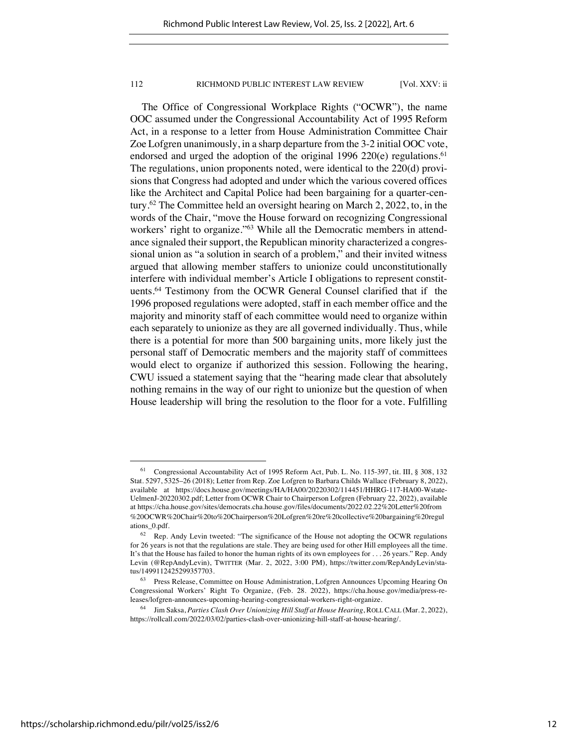The Office of Congressional Workplace Rights ("OCWR"), the name OOC assumed under the Congressional Accountability Act of 1995 Reform Act, in a response to a letter from House Administration Committee Chair Zoe Lofgren unanimously, in a sharp departure from the 3-2 initial OOC vote, endorsed and urged the adoption of the original 1996 220 $(e)$  regulations.<sup>61</sup> The regulations, union proponents noted, were identical to the 220(d) provisions that Congress had adopted and under which the various covered offices like the Architect and Capital Police had been bargaining for a quarter-century.62 The Committee held an oversight hearing on March 2, 2022, to, in the words of the Chair, "move the House forward on recognizing Congressional workers' right to organize."<sup>63</sup> While all the Democratic members in attendance signaled their support, the Republican minority characterized a congressional union as "a solution in search of a problem," and their invited witness argued that allowing member staffers to unionize could unconstitutionally interfere with individual member's Article I obligations to represent constituents.64 Testimony from the OCWR General Counsel clarified that if the 1996 proposed regulations were adopted, staff in each member office and the majority and minority staff of each committee would need to organize within each separately to unionize as they are all governed individually. Thus, while there is a potential for more than 500 bargaining units, more likely just the personal staff of Democratic members and the majority staff of committees would elect to organize if authorized this session. Following the hearing, CWU issued a statement saying that the "hearing made clear that absolutely nothing remains in the way of our right to unionize but the question of when House leadership will bring the resolution to the floor for a vote. Fulfilling

<sup>61</sup> Congressional Accountability Act of 1995 Reform Act, Pub. L. No. 115-397, tit. III, § 308, 132 Stat. 5297, 5325–26 (2018); Letter from Rep. Zoe Lofgren to Barbara Childs Wallace (February 8, 2022), available at https://docs.house.gov/meetings/HA/HA00/20220302/114451/HHRG-117-HA00-Wstate-UelmenJ-20220302.pdf; Letter from OCWR Chair to Chairperson Lofgren (February 22, 2022), available at https://cha.house.gov/sites/democrats.cha.house.gov/files/documents/2022.02.22%20Letter%20from %20OCWR%20Chair%20to%20Chairperson%20Lofgren%20re%20collective%20bargaining%20regul ations\_0.pdf.

 $62$  Rep. Andy Levin tweeted: "The significance of the House not adopting the OCWR regulations for 26 years is not that the regulations are stale. They are being used for other Hill employees all the time. It's that the House has failed to honor the human rights of its own employees for . . . 26 years." Rep. Andy Levin (@RepAndyLevin), TWITTER (Mar. 2, 2022, 3:00 PM), https://twitter.com/RepAndyLevin/status/1499112425299357703.

<sup>63</sup> Press Release, Committee on House Administration, Lofgren Announces Upcoming Hearing On Congressional Workers' Right To Organize, (Feb. 28. 2022), https://cha.house.gov/media/press-releases/lofgren-announces-upcoming-hearing-congressional-workers-right-organize.

<sup>64</sup> Jim Saksa, *Parties Clash Over Unionizing Hill Staff at House Hearing*, ROLL CALL (Mar. 2, 2022), https://rollcall.com/2022/03/02/parties-clash-over-unionizing-hill-staff-at-house-hearing/.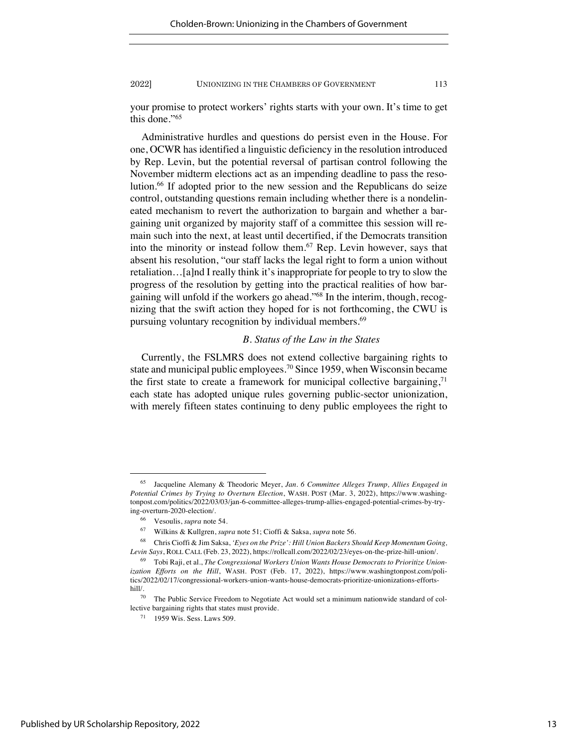your promise to protect workers' rights starts with your own. It's time to get this done."65

Administrative hurdles and questions do persist even in the House. For one, OCWR has identified a linguistic deficiency in the resolution introduced by Rep. Levin, but the potential reversal of partisan control following the November midterm elections act as an impending deadline to pass the resolution.66 If adopted prior to the new session and the Republicans do seize control, outstanding questions remain including whether there is a nondelineated mechanism to revert the authorization to bargain and whether a bargaining unit organized by majority staff of a committee this session will remain such into the next, at least until decertified, if the Democrats transition into the minority or instead follow them.67 Rep. Levin however, says that absent his resolution, "our staff lacks the legal right to form a union without retaliation…[a]nd I really think it's inappropriate for people to try to slow the progress of the resolution by getting into the practical realities of how bargaining will unfold if the workers go ahead."68 In the interim, though, recognizing that the swift action they hoped for is not forthcoming, the CWU is pursuing voluntary recognition by individual members.<sup>69</sup>

# *B. Status of the Law in the States*

Currently, the FSLMRS does not extend collective bargaining rights to state and municipal public employees.<sup>70</sup> Since 1959, when Wisconsin became the first state to create a framework for municipal collective bargaining,  $71$ each state has adopted unique rules governing public-sector unionization, with merely fifteen states continuing to deny public employees the right to

<sup>65</sup> Jacqueline Alemany & Theodoric Meyer, *Jan. 6 Committee Alleges Trump, Allies Engaged in Potential Crimes by Trying to Overturn Election*, WASH. POST (Mar. 3, 2022), https://www.washingtonpost.com/politics/2022/03/03/jan-6-committee-alleges-trump-allies-engaged-potential-crimes-by-trying-overturn-2020-election/.

<sup>66</sup> Vesoulis, *supra* note 54.

<sup>67</sup> Wilkins & Kullgren, *supra* note 51; Cioffi & Saksa, *supra* note 56.

<sup>68</sup> Chris Cioffi & Jim Saksa, *'Eyes on the Prize': Hill Union Backers Should Keep Momentum Going, Levin Says*, ROLL CALL (Feb. 23, 2022), https://rollcall.com/2022/02/23/eyes-on-the-prize-hill-union/.

<sup>69</sup> Tobi Raji, et al., *The Congressional Workers Union Wants House Democrats to Prioritize Unionization Efforts on the Hill*, WASH. POST (Feb. 17, 2022), https://www.washingtonpost.com/politics/2022/02/17/congressional-workers-union-wants-house-democrats-prioritize-unionizations-effortshill/.

<sup>70</sup> The Public Service Freedom to Negotiate Act would set a minimum nationwide standard of collective bargaining rights that states must provide.

<sup>71</sup> 1959 Wis. Sess. Laws 509.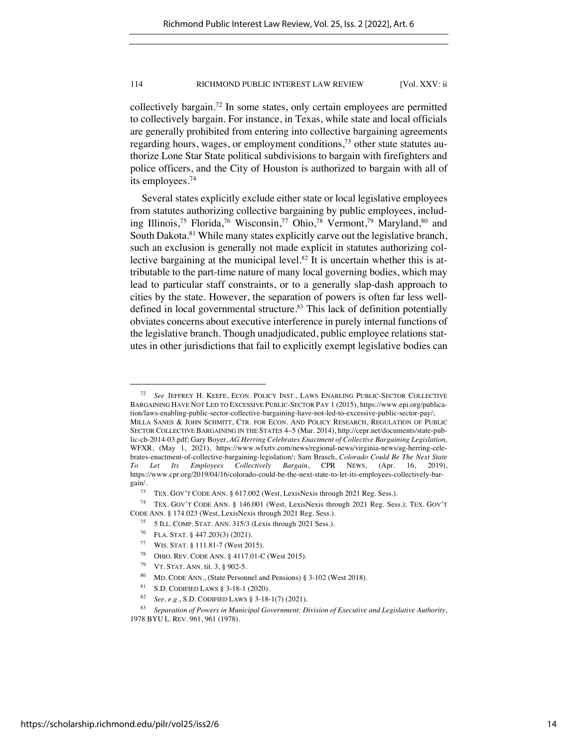collectively bargain.72 In some states, only certain employees are permitted to collectively bargain. For instance, in Texas, while state and local officials are generally prohibited from entering into collective bargaining agreements regarding hours, wages, or employment conditions, $7<sup>3</sup>$  other state statutes authorize Lone Star State political subdivisions to bargain with firefighters and police officers, and the City of Houston is authorized to bargain with all of its employees.74

Several states explicitly exclude either state or local legislative employees from statutes authorizing collective bargaining by public employees, including Illinois,<sup>75</sup> Florida,<sup>76</sup> Wisconsin,<sup>77</sup> Ohio,<sup>78</sup> Vermont,<sup>79</sup> Maryland,<sup>80</sup> and South Dakota.<sup>81</sup> While many states explicitly carve out the legislative branch, such an exclusion is generally not made explicit in statutes authorizing collective bargaining at the municipal level.<sup>82</sup> It is uncertain whether this is attributable to the part-time nature of many local governing bodies, which may lead to particular staff constraints, or to a generally slap-dash approach to cities by the state. However, the separation of powers is often far less welldefined in local governmental structure.<sup>83</sup> This lack of definition potentially obviates concerns about executive interference in purely internal functions of the legislative branch. Though unadjudicated, public employee relations statutes in other jurisdictions that fail to explicitly exempt legislative bodies can

WIS. STAT. § 111.81-7 (West 2015).

<sup>72</sup> *See* JEFFREY H. KEEFE, ECON. POLICY INST., LAWS ENABLING PUBLIC-SECTOR COLLECTIVE BARGAINING HAVE NOT LED TO EXCESSIVE PUBLIC-SECTOR PAY 1 (2015), https://www.epi.org/publication/laws-enabling-public-sector-collective-bargaining-have-not-led-to-excessive-public-sector-pay/; MILLA SANES & JOHN SCHMITT, CTR. FOR ECON. AND POLICY RESEARCH, REGULATION OF PUBLIC SECTOR COLLECTIVE BARGAINING IN THE STATES 4–5 (Mar. 2014), http://cepr.net/documents/state-public-cb-2014-03.pdf; Gary Boyer, *AG Herring Celebrates Enactment of Collective Bargaining Legislation,* WFXR, (May 1, 2021), https://www.wfxrtv.com/news/regional-news/virginia-news/ag-herring-celebrates-enactment-of-collective-bargaining-legislation/; Sam Brasch, *Colorado Could Be The Next State To Let Its Employees Collectively Bargain*, CPR NEWS, (Apr. 16, 2019), https://www.cpr.org/2019/04/16/colorado-could-be-the-next-state-to-let-its-employees-collectively-bargain/.

<sup>&</sup>lt;sup>73</sup> TEX. GOV'T CODE ANN. § 617.002 (West, LexisNexis through 2021 Reg. Sess.).<br><sup>74</sup> TEX. GOV'T CODE ANN. § 146.001 (West, LexisNexis through 2021 Reg. Sec.

TEX. GOV'T CODE ANN. § 146.001 (West, LexisNexis through 2021 Reg. Sess.); TEX. GOV'T CODE ANN. § 174.023 (West, LexisNexis through 2021 Reg. Sess.).

<sup>75</sup> 5 ILL. COMP. STAT. ANN. 315/3 (Lexis through 2021 Sess.).

<sup>&</sup>lt;sup>76</sup> FLA. STAT. § 447.203(3) (2021).<br><sup>77</sup> W<sub>IS</sub> STAT. <sup>§</sup> 111.81.7 (Wort 201

<sup>78</sup> OHIO. REV. CODE ANN. § 4117.01-C (West 2015).

<sup>79</sup> VT. STAT. ANN. tit. 3, § 902-5.

<sup>80</sup> MD. CODE ANN., (State Personnel and Pensions) § 3-102 (West 2018).

<sup>81</sup> S.D. CODIFIED LAWS § 3-18-1 (2020).

<sup>82</sup> *See, e.g.*, S.D. CODIFIED LAWS § 3-18-1(7) (2021).

<sup>83</sup> *Separation of Powers in Municipal Government: Division of Executive and Legislative Authority*, 1978 BYU L. REV. 961, 961 (1978).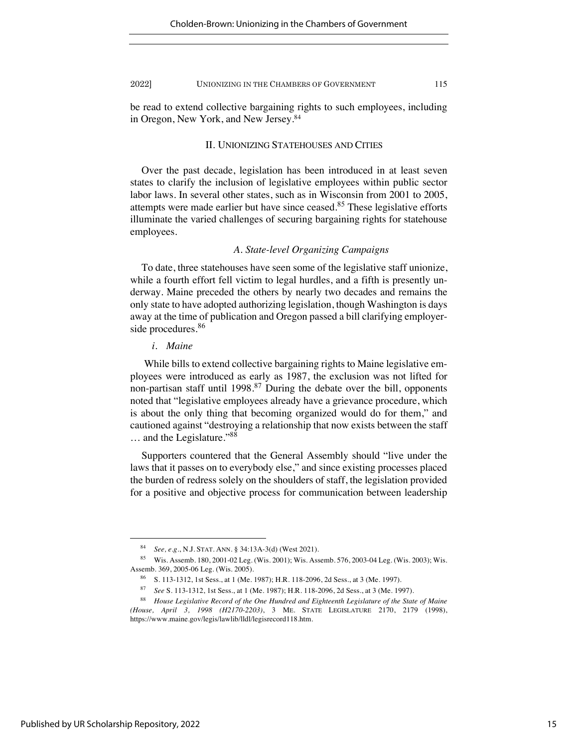be read to extend collective bargaining rights to such employees, including in Oregon, New York, and New Jersey.84

### II. UNIONIZING STATEHOUSES AND CITIES

Over the past decade, legislation has been introduced in at least seven states to clarify the inclusion of legislative employees within public sector labor laws. In several other states, such as in Wisconsin from 2001 to 2005, attempts were made earlier but have since ceased.<sup>85</sup> These legislative efforts illuminate the varied challenges of securing bargaining rights for statehouse employees.

# *A. State-level Organizing Campaigns*

To date, three statehouses have seen some of the legislative staff unionize, while a fourth effort fell victim to legal hurdles, and a fifth is presently underway. Maine preceded the others by nearly two decades and remains the only state to have adopted authorizing legislation, though Washington is days away at the time of publication and Oregon passed a bill clarifying employerside procedures.<sup>86</sup>

# *i. Maine*

While bills to extend collective bargaining rights to Maine legislative employees were introduced as early as 1987, the exclusion was not lifted for non-partisan staff until  $1998$ <sup>87</sup> During the debate over the bill, opponents noted that "legislative employees already have a grievance procedure, which is about the only thing that becoming organized would do for them," and cautioned against "destroying a relationship that now exists between the staff … and the Legislature."<sup>88</sup>

Supporters countered that the General Assembly should "live under the laws that it passes on to everybody else," and since existing processes placed the burden of redress solely on the shoulders of staff, the legislation provided for a positive and objective process for communication between leadership

<sup>84</sup> *See, e.g.*, N.J. STAT. ANN. § 34:13A-3(d) (West 2021).

<sup>85</sup> Wis. Assemb. 180, 2001-02 Leg. (Wis. 2001); Wis. Assemb. 576, 2003-04 Leg. (Wis. 2003); Wis. Assemb. 369, 2005-06 Leg. (Wis. 2005).

<sup>86</sup> S. 113-1312, 1st Sess., at 1 (Me. 1987); H.R. 118-2096, 2d Sess., at 3 (Me. 1997).

<sup>87</sup> *See* S. 113-1312, 1st Sess., at 1 (Me. 1987); H.R. 118-2096, 2d Sess., at 3 (Me. 1997).

<sup>88</sup> *House Legislative Record of the One Hundred and Eighteenth Legislature of the State of Maine (House, April 3, 1998 (H2170-2203)*, 3 ME. STATE LEGISLATURE 2170, 2179 (1998), https://www.maine.gov/legis/lawlib/lldl/legisrecord118.htm.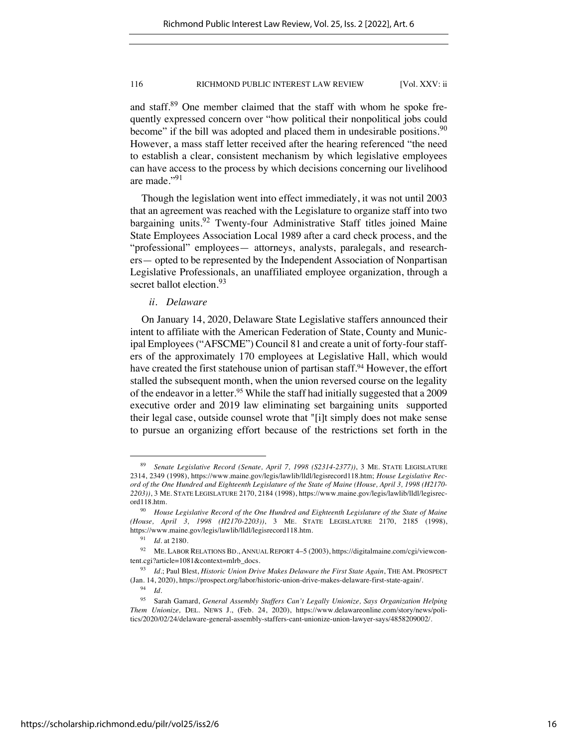and staff.<sup>89</sup> One member claimed that the staff with whom he spoke frequently expressed concern over "how political their nonpolitical jobs could become" if the bill was adopted and placed them in undesirable positions.<sup>90</sup> However, a mass staff letter received after the hearing referenced "the need to establish a clear, consistent mechanism by which legislative employees can have access to the process by which decisions concerning our livelihood are made."<sup>91</sup>

Though the legislation went into effect immediately, it was not until 2003 that an agreement was reached with the Legislature to organize staff into two bargaining units.<sup>92</sup> Twenty-four Administrative Staff titles joined Maine State Employees Association Local 1989 after a card check process, and the "professional" employees— attorneys, analysts, paralegals, and researchers— opted to be represented by the Independent Association of Nonpartisan Legislative Professionals, an unaffiliated employee organization, through a secret ballot election.<sup>93</sup>

# *ii. Delaware*

On January 14, 2020, Delaware State Legislative staffers announced their intent to affiliate with the American Federation of State, County and Municipal Employees ("AFSCME") Council 81 and create a unit of forty-four staffers of the approximately 170 employees at Legislative Hall, which would have created the first statehouse union of partisan staff.<sup>94</sup> However, the effort stalled the subsequent month, when the union reversed course on the legality of the endeavor in a letter.<sup>95</sup> While the staff had initially suggested that a 2009 executive order and 2019 law eliminating set bargaining units supported their legal case, outside counsel wrote that "[i]t simply does not make sense to pursue an organizing effort because of the restrictions set forth in the

<sup>94</sup> *Id.*

<sup>89</sup> *Senate Legislative Record (Senate, April 7, 1998 (S2314-2377))*, 3 ME. STATE LEGISLATURE 2314, 2349 (1998), https://www.maine.gov/legis/lawlib/lldl/legisrecord118.htm; *House Legislative Record of the One Hundred and Eighteenth Legislature of the State of Maine (House, April 3, 1998 (H2170- 2203))*, 3 ME. STATE LEGISLATURE 2170, 2184 (1998), https://www.maine.gov/legis/lawlib/lldl/legisrecord118.htm.

<sup>90</sup> *House Legislative Record of the One Hundred and Eighteenth Legislature of the State of Maine (House, April 3, 1998 (H2170-2203))*, 3 ME. STATE LEGISLATURE 2170, 2185 (1998), https://www.maine.gov/legis/lawlib/lldl/legisrecord118.htm.

<sup>91</sup> *Id.* at 2180.

<sup>92</sup> ME. LABOR RELATIONS BD., ANNUAL REPORT 4–5 (2003), https://digitalmaine.com/cgi/viewcontent.cgi?article=1081&context=mlrb\_docs.

<sup>93</sup> *Id.*; Paul Blest, *Historic Union Drive Makes Delaware the First State Again*, THE AM. PROSPECT (Jan. 14, 2020), https://prospect.org/labor/historic-union-drive-makes-delaware-first-state-again/.

<sup>95</sup> Sarah Gamard, *General Assembly Staffers Can't Legally Unionize, Says Organization Helping Them Unionize,* DEL. NEWS J., (Feb. 24, 2020), https://www.delawareonline.com/story/news/politics/2020/02/24/delaware-general-assembly-staffers-cant-unionize-union-lawyer-says/4858209002/.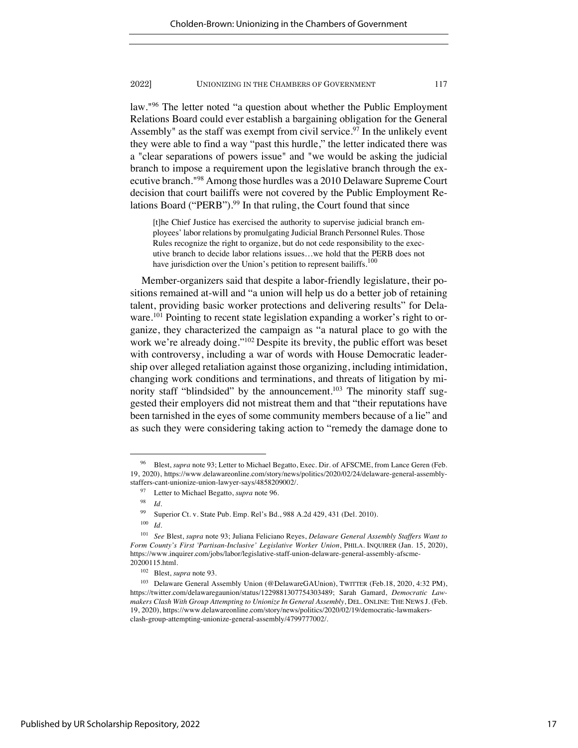law."96 The letter noted "a question about whether the Public Employment Relations Board could ever establish a bargaining obligation for the General Assembly" as the staff was exempt from civil service.<sup>97</sup> In the unlikely event they were able to find a way "past this hurdle," the letter indicated there was a "clear separations of powers issue" and "we would be asking the judicial branch to impose a requirement upon the legislative branch through the executive branch."98 Among those hurdles was a 2010 Delaware Supreme Court decision that court bailiffs were not covered by the Public Employment Relations Board ("PERB").<sup>99</sup> In that ruling, the Court found that since

[t]he Chief Justice has exercised the authority to supervise judicial branch employees' labor relations by promulgating Judicial Branch Personnel Rules. Those Rules recognize the right to organize, but do not cede responsibility to the executive branch to decide labor relations issues…we hold that the PERB does not have jurisdiction over the Union's petition to represent bailiffs.<sup>100</sup>

Member-organizers said that despite a labor-friendly legislature, their positions remained at-will and "a union will help us do a better job of retaining talent, providing basic worker protections and delivering results" for Delaware.<sup>101</sup> Pointing to recent state legislation expanding a worker's right to organize, they characterized the campaign as "a natural place to go with the work we're already doing."102 Despite its brevity, the public effort was beset with controversy, including a war of words with House Democratic leadership over alleged retaliation against those organizing, including intimidation, changing work conditions and terminations, and threats of litigation by minority staff "blindsided" by the announcement.<sup>103</sup> The minority staff suggested their employers did not mistreat them and that "their reputations have been tarnished in the eyes of some community members because of a lie" and as such they were considering taking action to "remedy the damage done to

Blest, *supra* note 93; Letter to Michael Begatto, Exec. Dir. of AFSCME, from Lance Geren (Feb. 19, 2020), https://www.delawareonline.com/story/news/politics/2020/02/24/delaware-general-assemblystaffers-cant-unionize-union-lawyer-says/4858209002/.

<sup>97</sup> Letter to Michael Begatto, *supra* note 96.

<sup>98</sup> *Id.*

<sup>99</sup> Superior Ct. v. State Pub. Emp. Rel's Bd., 988 A.2d 429, 431 (Del. 2010).

<sup>100</sup> *Id.* 

<sup>101</sup> *See* Blest, *supra* note 93; Juliana Feliciano Reyes, *Delaware General Assembly Staffers Want to Form County's First 'Partisan-Inclusive' Legislative Worker Union*, PHILA. INQUIRER (Jan. 15, 2020), https://www.inquirer.com/jobs/labor/legislative-staff-union-delaware-general-assembly-afscme-20200115.html.

<sup>102</sup> Blest, *supra* note 93.

<sup>&</sup>lt;sup>103</sup> Delaware General Assembly Union (@DelawareGAUnion), TWITTER (Feb.18, 2020, 4:32 PM), https://twitter.com/delawaregaunion/status/1229881307754303489; Sarah Gamard, *Democratic Lawmakers Clash With Group Attempting to Unionize In General Assembly*, DEL. ONLINE: THE NEWS J. (Feb. 19, 2020), https://www.delawareonline.com/story/news/politics/2020/02/19/democratic-lawmakersclash-group-attempting-unionize-general-assembly/4799777002/.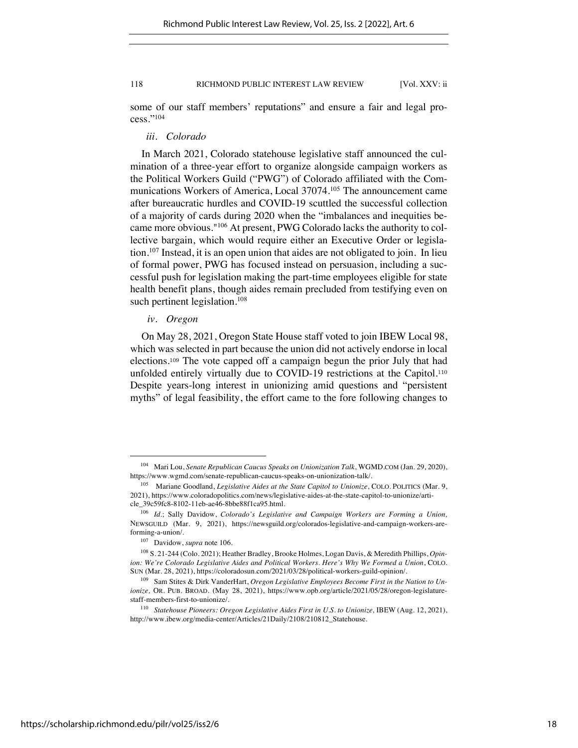some of our staff members' reputations" and ensure a fair and legal process."104

## *iii. Colorado*

In March 2021, Colorado statehouse legislative staff announced the culmination of a three-year effort to organize alongside campaign workers as the Political Workers Guild ("PWG") of Colorado affiliated with the Communications Workers of America, Local 37074.105 The announcement came after bureaucratic hurdles and COVID-19 scuttled the successful collection of a majority of cards during 2020 when the "imbalances and inequities became more obvious."106 At present, PWG Colorado lacks the authority to collective bargain, which would require either an Executive Order or legislation.<sup>107</sup> Instead, it is an open union that aides are not obligated to join. In lieu of formal power, PWG has focused instead on persuasion, including a successful push for legislation making the part-time employees eligible for state health benefit plans, though aides remain precluded from testifying even on such pertinent legislation.<sup>108</sup>

# *iv. Oregon*

On May 28, 2021, Oregon State House staff voted to join IBEW Local 98, which was selected in part because the union did not actively endorse in local elections.<sup>109</sup> The vote capped off a campaign begun the prior July that had unfolded entirely virtually due to COVID-19 restrictions at the Capitol.<sup>110</sup> Despite years-long interest in unionizing amid questions and "persistent myths" of legal feasibility, the effort came to the fore following changes to

<sup>104</sup> Mari Lou, *Senate Republican Caucus Speaks on Unionization Talk*, WGMD.COM (Jan. 29, 2020), https://www.wgmd.com/senate-republican-caucus-speaks-on-unionization-talk/.

<sup>105</sup> Mariane Goodland, *Legislative Aides at the State Capitol to Unionize*, COLO. POLITICS (Mar. 9, 2021), https://www.coloradopolitics.com/news/legislative-aides-at-the-state-capitol-to-unionize/article\_39c59fc8-8102-11eb-ae46-8bbe88f1ca95.html.

<sup>106</sup> *Id.*; Sally Davidow, *Colorado's Legislative and Campaign Workers are Forming a Union,*  NEWSGUILD (Mar. 9, 2021), https://newsguild.org/colorados-legislative-and-campaign-workers-areforming-a-union/.

<sup>107</sup> Davidow, *supra* note 106.

<sup>108</sup> S. 21-244 (Colo. 2021); Heather Bradley, Brooke Holmes, Logan Davis, & Meredith Phillips, *Opinion: We're Colorado Legislative Aides and Political Workers. Here's Why We Formed a Union*, COLO. SUN (Mar. 28, 2021), https://coloradosun.com/2021/03/28/political-workers-guild-opinion/.

<sup>109</sup> Sam Stites & Dirk VanderHart, *Oregon Legislative Employees Become First in the Nation to Unionize,* OR. PUB. BROAD. (May 28, 2021), https://www.opb.org/article/2021/05/28/oregon-legislaturestaff-members-first-to-unionize/.

<sup>&</sup>lt;sup>110</sup> Statehouse Pioneers: Oregon Legislative Aides First in U.S. to Unionize, IBEW (Aug. 12, 2021), http://www.ibew.org/media-center/Articles/21Daily/2108/210812\_Statehouse.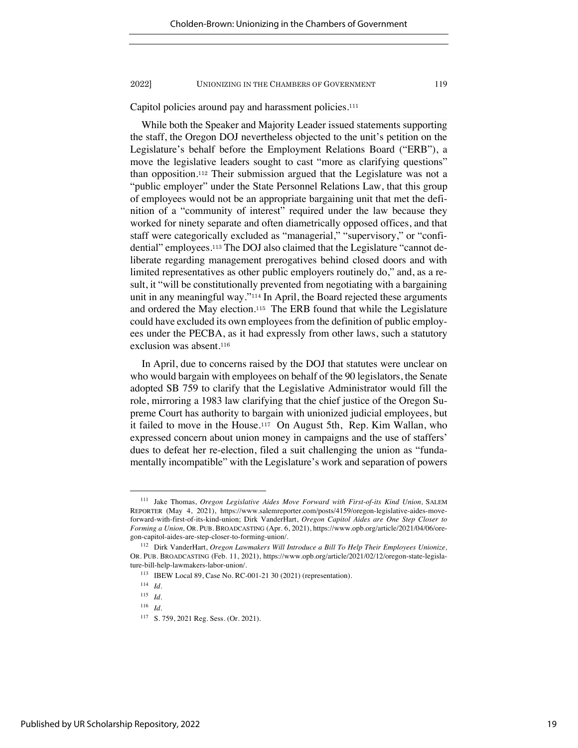Capitol policies around pay and harassment policies.<sup>111</sup>

While both the Speaker and Majority Leader issued statements supporting the staff, the Oregon DOJ nevertheless objected to the unit's petition on the Legislature's behalf before the Employment Relations Board ("ERB"), a move the legislative leaders sought to cast "more as clarifying questions" than opposition.<sup>112</sup> Their submission argued that the Legislature was not a "public employer" under the State Personnel Relations Law, that this group of employees would not be an appropriate bargaining unit that met the definition of a "community of interest" required under the law because they worked for ninety separate and often diametrically opposed offices, and that staff were categorically excluded as "managerial," "supervisory," or "confidential" employees.<sup>113</sup> The DOJ also claimed that the Legislature "cannot deliberate regarding management prerogatives behind closed doors and with limited representatives as other public employers routinely do," and, as a result, it "will be constitutionally prevented from negotiating with a bargaining unit in any meaningful way."<sup>114</sup> In April, the Board rejected these arguments and ordered the May election.<sup>115</sup> The ERB found that while the Legislature could have excluded its own employees from the definition of public employees under the PECBA, as it had expressly from other laws, such a statutory exclusion was absent.<sup>116</sup>

In April, due to concerns raised by the DOJ that statutes were unclear on who would bargain with employees on behalf of the 90 legislators, the Senate adopted SB 759 to clarify that the Legislative Administrator would fill the role, mirroring a 1983 law clarifying that the chief justice of the Oregon Supreme Court has authority to bargain with unionized judicial employees, but it failed to move in the House.117 On August 5th, Rep. Kim Wallan, who expressed concern about union money in campaigns and the use of staffers' dues to defeat her re-election, filed a suit challenging the union as "fundamentally incompatible" with the Legislature's work and separation of powers

<sup>111</sup> Jake Thomas, *Oregon Legislative Aides Move Forward with First-of-its Kind Union,* SALEM REPORTER (May 4, 2021), https://www.salemreporter.com/posts/4159/oregon-legislative-aides-moveforward-with-first-of-its-kind-union; Dirk VanderHart, *Oregon Capitol Aides are One Step Closer to Forming a Union,* OR. PUB. BROADCASTING (Apr. 6, 2021), https://www.opb.org/article/2021/04/06/oregon-capitol-aides-are-step-closer-to-forming-union/.

<sup>112</sup> Dirk VanderHart, *Oregon Lawmakers Will Introduce a Bill To Help Their Employees Unionize,*  OR. PUB. BROADCASTING (Feb. 11, 2021), https://www.opb.org/article/2021/02/12/oregon-state-legislature-bill-help-lawmakers-labor-union/.

<sup>113</sup> IBEW Local 89, Case No. RC-001-21 30 (2021) (representation).

<sup>114</sup> *Id.*

<sup>115</sup> *Id.*

<sup>116</sup> *Id.*

<sup>117</sup> S. 759, 2021 Reg. Sess. (Or. 2021).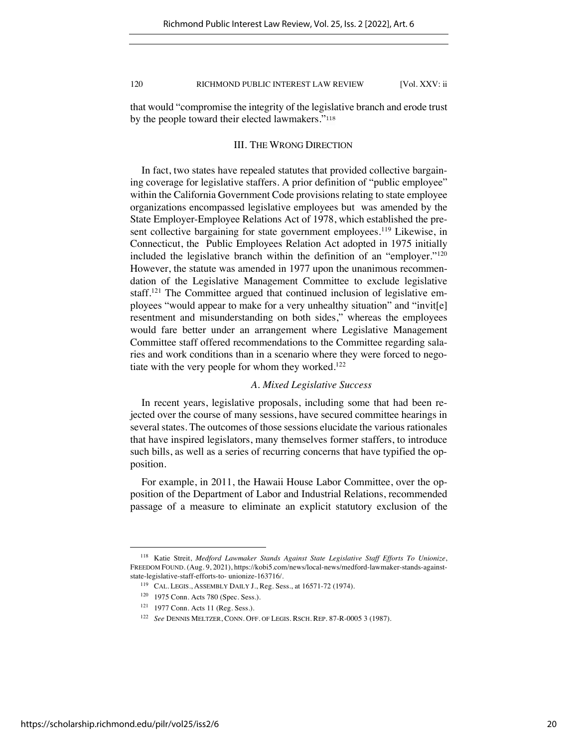that would "compromise the integrity of the legislative branch and erode trust by the people toward their elected lawmakers."<sup>118</sup>

# III. THE WRONG DIRECTION

In fact, two states have repealed statutes that provided collective bargaining coverage for legislative staffers. A prior definition of "public employee" within the California Government Code provisions relating to state employee organizations encompassed legislative employees but was amended by the State Employer-Employee Relations Act of 1978, which established the present collective bargaining for state government employees.<sup>119</sup> Likewise, in Connecticut, the Public Employees Relation Act adopted in 1975 initially included the legislative branch within the definition of an "employer."120 However, the statute was amended in 1977 upon the unanimous recommendation of the Legislative Management Committee to exclude legislative staff.121 The Committee argued that continued inclusion of legislative employees "would appear to make for a very unhealthy situation" and "invit[e] resentment and misunderstanding on both sides," whereas the employees would fare better under an arrangement where Legislative Management Committee staff offered recommendations to the Committee regarding salaries and work conditions than in a scenario where they were forced to negotiate with the very people for whom they worked.<sup>122</sup>

# *A. Mixed Legislative Success*

In recent years, legislative proposals, including some that had been rejected over the course of many sessions, have secured committee hearings in several states. The outcomes of those sessions elucidate the various rationales that have inspired legislators, many themselves former staffers, to introduce such bills, as well as a series of recurring concerns that have typified the opposition.

For example, in 2011, the Hawaii House Labor Committee, over the opposition of the Department of Labor and Industrial Relations, recommended passage of a measure to eliminate an explicit statutory exclusion of the

<sup>118</sup> Katie Streit, *Medford Lawmaker Stands Against State Legislative Staff Efforts To Unionize*, FREEDOM FOUND. (Aug. 9, 2021), https://kobi5.com/news/local-news/medford-lawmaker-stands-againststate-legislative-staff-efforts-to- unionize-163716/.

<sup>119</sup> CAL. LEGIS., ASSEMBLY DAILY J., Reg. Sess., at 16571-72 (1974).

<sup>120</sup> 1975 Conn. Acts 780 (Spec. Sess.).

<sup>121</sup> 1977 Conn. Acts 11 (Reg. Sess.).

<sup>122</sup> *See* DENNIS MELTZER, CONN. OFF. OF LEGIS. RSCH. REP. 87-R-0005 3 (1987).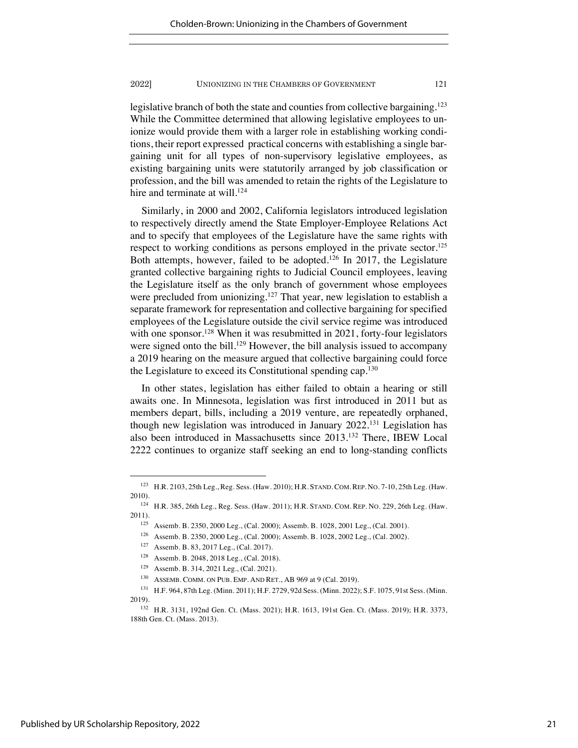legislative branch of both the state and counties from collective bargaining.<sup>123</sup> While the Committee determined that allowing legislative employees to unionize would provide them with a larger role in establishing working conditions, their report expressed practical concerns with establishing a single bargaining unit for all types of non-supervisory legislative employees, as existing bargaining units were statutorily arranged by job classification or profession, and the bill was amended to retain the rights of the Legislature to hire and terminate at will.<sup>124</sup>

Similarly, in 2000 and 2002, California legislators introduced legislation to respectively directly amend the State Employer-Employee Relations Act and to specify that employees of the Legislature have the same rights with respect to working conditions as persons employed in the private sector.<sup>125</sup> Both attempts, however, failed to be adopted.126 In 2017, the Legislature granted collective bargaining rights to Judicial Council employees, leaving the Legislature itself as the only branch of government whose employees were precluded from unionizing.<sup>127</sup> That year, new legislation to establish a separate framework for representation and collective bargaining for specified employees of the Legislature outside the civil service regime was introduced with one sponsor.<sup>128</sup> When it was resubmitted in 2021, forty-four legislators were signed onto the bill.<sup>129</sup> However, the bill analysis issued to accompany a 2019 hearing on the measure argued that collective bargaining could force the Legislature to exceed its Constitutional spending cap.130

In other states, legislation has either failed to obtain a hearing or still awaits one. In Minnesota, legislation was first introduced in 2011 but as members depart, bills, including a 2019 venture, are repeatedly orphaned, though new legislation was introduced in January 2022.131 Legislation has also been introduced in Massachusetts since 2013.132 There, IBEW Local 2222 continues to organize staff seeking an end to long-standing conflicts

<sup>123</sup> H.R. 2103, 25th Leg., Reg. Sess. (Haw. 2010); H.R. STAND. COM. REP. NO. 7-10, 25th Leg. (Haw. 2010).

<sup>124</sup> H.R. 385, 26th Leg., Reg. Sess. (Haw. 2011); H.R. STAND. COM. REP. NO. 229, 26th Leg. (Haw. 2011).

<sup>125</sup> Assemb. B. 2350, 2000 Leg., (Cal. 2000); Assemb. B. 1028, 2001 Leg., (Cal. 2001).

<sup>126</sup> Assemb. B. 2350, 2000 Leg., (Cal. 2000); Assemb. B. 1028, 2002 Leg., (Cal. 2002).

<sup>127</sup> Assemb. B. 83, 2017 Leg., (Cal. 2017).

<sup>128</sup> Assemb. B. 2048, 2018 Leg., (Cal. 2018).

<sup>129</sup> Assemb. B. 314, 2021 Leg., (Cal. 2021).

ASSEMB. COMM. ON PUB. EMP. AND RET., AB 969 at 9 (Cal. 2019).

<sup>131</sup> H.F. 964, 87th Leg. (Minn. 2011); H.F. 2729, 92d Sess. (Minn. 2022); S.F. 1075, 91st Sess. (Minn. 2019).

<sup>132</sup> H.R. 3131, 192nd Gen. Ct. (Mass. 2021); H.R. 1613, 191st Gen. Ct. (Mass. 2019); H.R. 3373, 188th Gen. Ct. (Mass. 2013).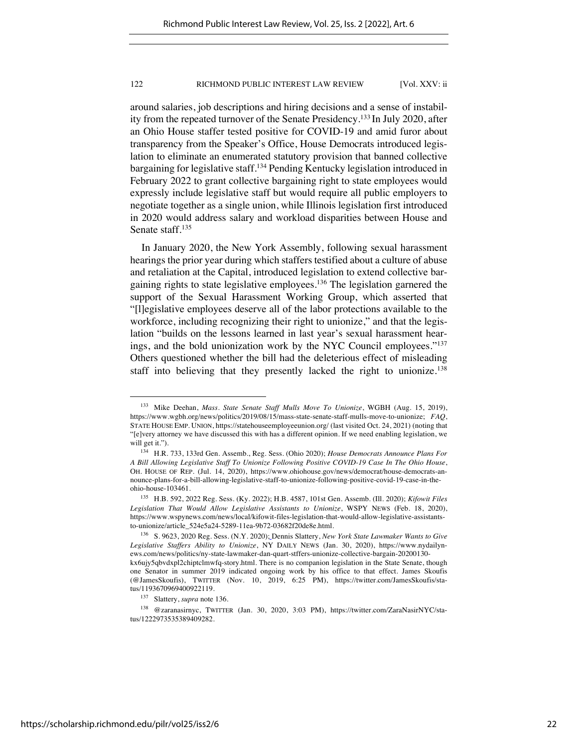around salaries, job descriptions and hiring decisions and a sense of instability from the repeated turnover of the Senate Presidency.133 In July 2020, after an Ohio House staffer tested positive for COVID-19 and amid furor about transparency from the Speaker's Office, House Democrats introduced legislation to eliminate an enumerated statutory provision that banned collective bargaining for legislative staff.134 Pending Kentucky legislation introduced in February 2022 to grant collective bargaining right to state employees would expressly include legislative staff but would require all public employers to negotiate together as a single union, while Illinois legislation first introduced in 2020 would address salary and workload disparities between House and Senate staff.<sup>135</sup>

In January 2020, the New York Assembly, following sexual harassment hearings the prior year during which staffers testified about a culture of abuse and retaliation at the Capital, introduced legislation to extend collective bargaining rights to state legislative employees.136 The legislation garnered the support of the Sexual Harassment Working Group, which asserted that "[l]egislative employees deserve all of the labor protections available to the workforce, including recognizing their right to unionize," and that the legislation "builds on the lessons learned in last year's sexual harassment hearings, and the bold unionization work by the NYC Council employees."137 Others questioned whether the bill had the deleterious effect of misleading staff into believing that they presently lacked the right to unionize.<sup>138</sup>

<sup>133</sup> Mike Deehan, *Mass. State Senate Staff Mulls Move To Unionize*, WGBH (Aug. 15, 2019), https://www.wgbh.org/news/politics/2019/08/15/mass-state-senate-staff-mulls-move-to-unionize; *FAQ*, STATE HOUSE EMP. UNION, https://statehouseemployeeunion.org/ (last visited Oct. 24, 2021) (noting that "[e]very attorney we have discussed this with has a different opinion. If we need enabling legislation, we will get it.").

<sup>134</sup> H.R. 733, 133rd Gen. Assemb., Reg. Sess. (Ohio 2020); *House Democrats Announce Plans For A Bill Allowing Legislative Staff To Unionize Following Positive COVID-19 Case In The Ohio House*, OH. HOUSE OF REP. (Jul. 14, 2020), https://www.ohiohouse.gov/news/democrat/house-democrats-announce-plans-for-a-bill-allowing-legislative-staff-to-unionize-following-positive-covid-19-case-in-theohio-house-103461.

<sup>135</sup> H.B. 592, 2022 Reg. Sess. (Ky. 2022); H.B. 4587, 101st Gen. Assemb. (Ill. 2020); *Kifowit Files Legislation That Would Allow Legislative Assistants to Unionize*, WSPY NEWS (Feb. 18, 2020), https://www.wspynews.com/news/local/kifowit-files-legislation-that-would-allow-legislative-assistantsto-unionize/article\_524e5a24-5289-11ea-9b72-03682f20de8e.html.

<sup>136</sup> S. 9623, 2020 Reg. Sess. (N.Y. 2020); Dennis Slattery, *New York State Lawmaker Wants to Give Legislative Staffers Ability to Unionize*, NY DAILY NEWS (Jan. 30, 2020), https://www.nydailynews.com/news/politics/ny-state-lawmaker-dan-quart-stffers-unionize-collective-bargain-20200130 kx6ujy5qbvdxpl2chiptclmwfq-story.html. There is no companion legislation in the State Senate, though one Senator in summer 2019 indicated ongoing work by his office to that effect. James Skoufis (@JamesSkoufis), TWITTER (Nov. 10, 2019, 6:25 PM), https://twitter.com/JamesSkoufis/status/1193670969400922119.

<sup>137</sup> Slattery, *supra* note 136.

<sup>138</sup> @zaranasirnyc, TWITTER (Jan. 30, 2020, 3:03 PM), https://twitter.com/ZaraNasirNYC/status/1222973535389409282.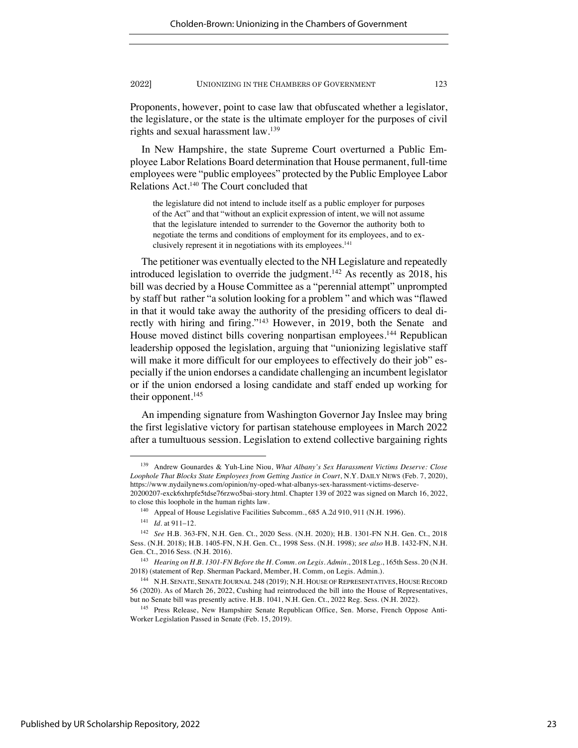Proponents, however, point to case law that obfuscated whether a legislator, the legislature, or the state is the ultimate employer for the purposes of civil rights and sexual harassment law.139

In New Hampshire, the state Supreme Court overturned a Public Employee Labor Relations Board determination that House permanent, full-time employees were "public employees" protected by the Public Employee Labor Relations Act.140 The Court concluded that

the legislature did not intend to include itself as a public employer for purposes of the Act" and that "without an explicit expression of intent, we will not assume that the legislature intended to surrender to the Governor the authority both to negotiate the terms and conditions of employment for its employees, and to exclusively represent it in negotiations with its employees.<sup>141</sup>

The petitioner was eventually elected to the NH Legislature and repeatedly introduced legislation to override the judgment.<sup>142</sup> As recently as 2018, his bill was decried by a House Committee as a "perennial attempt" unprompted by staff but rather "a solution looking for a problem " and which was "flawed in that it would take away the authority of the presiding officers to deal directly with hiring and firing."143 However, in 2019, both the Senate and House moved distinct bills covering nonpartisan employees.<sup>144</sup> Republican leadership opposed the legislation, arguing that "unionizing legislative staff will make it more difficult for our employees to effectively do their job" especially if the union endorses a candidate challenging an incumbent legislator or if the union endorsed a losing candidate and staff ended up working for their opponent.<sup>145</sup>

An impending signature from Washington Governor Jay Inslee may bring the first legislative victory for partisan statehouse employees in March 2022 after a tumultuous session. Legislation to extend collective bargaining rights

<sup>139</sup> Andrew Gounardes & Yuh-Line Niou, *What Albany's Sex Harassment Victims Deserve: Close Loophole That Blocks State Employees from Getting Justice in Court*, N.Y. DAILY NEWS (Feb. 7, 2020), https://www.nydailynews.com/opinion/ny-oped-what-albanys-sex-harassment-victims-deserve-

<sup>20200207-</sup>exck6xhrpfe5tdse76rzwo5bai-story.html. Chapter 139 of 2022 was signed on March 16, 2022, to close this loophole in the human rights law.

<sup>140</sup> Appeal of House Legislative Facilities Subcomm., 685 A.2d 910, 911 (N.H. 1996).

<sup>141</sup> *Id.* at 911–12.

<sup>142</sup> *See* H.B. 363-FN, N.H. Gen. Ct., 2020 Sess. (N.H. 2020); H.B. 1301-FN N.H. Gen. Ct., 2018 Sess. (N.H. 2018); H.B. 1405-FN, N.H. Gen. Ct., 1998 Sess. (N.H. 1998); *see also* H.B. 1432-FN, N.H. Gen. Ct., 2016 Sess. (N.H. 2016).

<sup>143</sup> *Hearing on H.B. 1301-FN Before the H. Comm. on Legis. Admin.*, 2018 Leg., 165th Sess. 20 (N.H. 2018) (statement of Rep. Sherman Packard, Member, H. Comm, on Legis. Admin.).

<sup>144</sup> N.H. SENATE, SENATE JOURNAL 248 (2019); N.H. HOUSE OF REPRESENTATIVES, HOUSE RECORD 56 (2020). As of March 26, 2022, Cushing had reintroduced the bill into the House of Representatives, but no Senate bill was presently active. H.B. 1041, N.H. Gen. Ct., 2022 Reg. Sess. (N.H. 2022).

<sup>&</sup>lt;sup>145</sup> Press Release, New Hampshire Senate Republican Office, Sen. Morse, French Oppose Anti-Worker Legislation Passed in Senate (Feb. 15, 2019).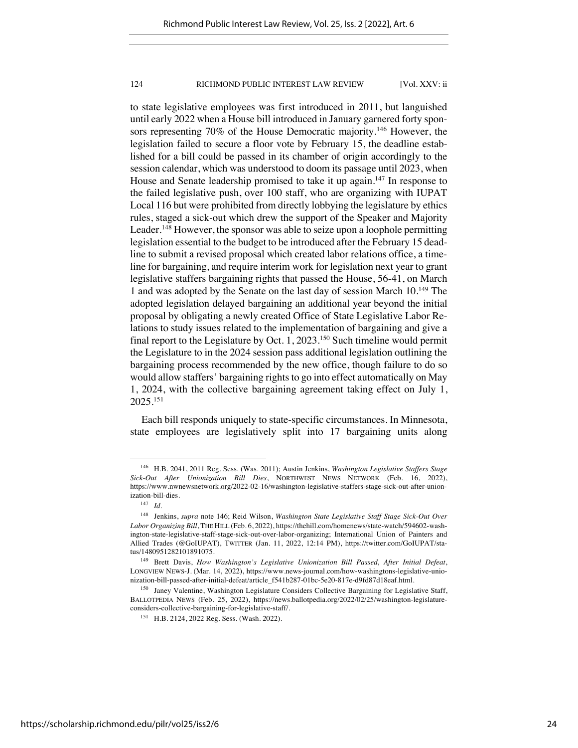to state legislative employees was first introduced in 2011, but languished until early 2022 when a House bill introduced in January garnered forty sponsors representing 70% of the House Democratic majority.146 However, the legislation failed to secure a floor vote by February 15, the deadline established for a bill could be passed in its chamber of origin accordingly to the session calendar, which was understood to doom its passage until 2023, when House and Senate leadership promised to take it up again.<sup>147</sup> In response to the failed legislative push, over 100 staff, who are organizing with IUPAT Local 116 but were prohibited from directly lobbying the legislature by ethics rules, staged a sick-out which drew the support of the Speaker and Majority Leader.<sup>148</sup> However, the sponsor was able to seize upon a loophole permitting legislation essential to the budget to be introduced after the February 15 deadline to submit a revised proposal which created labor relations office, a timeline for bargaining, and require interim work for legislation next year to grant legislative staffers bargaining rights that passed the House, 56-41, on March 1 and was adopted by the Senate on the last day of session March 10.149 The adopted legislation delayed bargaining an additional year beyond the initial proposal by obligating a newly created Office of State Legislative Labor Relations to study issues related to the implementation of bargaining and give a final report to the Legislature by Oct. 1, 2023.150 Such timeline would permit the Legislature to in the 2024 session pass additional legislation outlining the bargaining process recommended by the new office, though failure to do so would allow staffers' bargaining rights to go into effect automatically on May 1, 2024, with the collective bargaining agreement taking effect on July 1, 2025.151

Each bill responds uniquely to state-specific circumstances. In Minnesota, state employees are legislatively split into 17 bargaining units along

<sup>146</sup> H.B. 2041, 2011 Reg. Sess. (Was. 2011); Austin Jenkins, *Washington Legislative Staffers Stage Sick-Out After Unionization Bill Dies*, NORTHWEST NEWS NETWORK (Feb. 16, 2022), https://www.nwnewsnetwork.org/2022-02-16/washington-legislative-staffers-stage-sick-out-after-unionization-bill-dies.

<sup>147</sup> *Id.*

<sup>148</sup> Jenkins, *supra* note 146; Reid Wilson, *Washington State Legislative Staff Stage Sick-Out Over Labor Organizing Bill*, THE HILL (Feb. 6, 2022), https://thehill.com/homenews/state-watch/594602-washington-state-legislative-staff-stage-sick-out-over-labor-organizing; International Union of Painters and Allied Trades (@GoIUPAT), TWITTER (Jan. 11, 2022, 12:14 PM), https://twitter.com/GoIUPAT/status/1480951282101891075.

<sup>149</sup> Brett Davis, *How Washington's Legislative Unionization Bill Passed, After Initial Defeat*, LONGVIEW NEWS-J. (Mar. 14, 2022), https://www.news-journal.com/how-washingtons-legislative-unionization-bill-passed-after-initial-defeat/article\_f541b287-01bc-5e20-817e-d9fd87d18eaf.html.

<sup>&</sup>lt;sup>150</sup> Janey Valentine, Washington Legislature Considers Collective Bargaining for Legislative Staff, BALLOTPEDIA NEWS (Feb. 25, 2022), https://news.ballotpedia.org/2022/02/25/washington-legislatureconsiders-collective-bargaining-for-legislative-staff/.

<sup>151</sup> H.B. 2124, 2022 Reg. Sess. (Wash. 2022).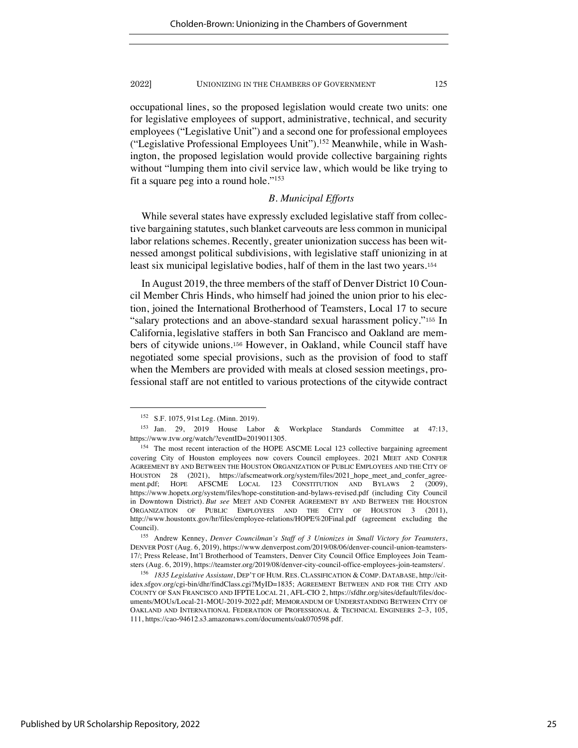occupational lines, so the proposed legislation would create two units: one for legislative employees of support, administrative, technical, and security employees ("Legislative Unit") and a second one for professional employees ("Legislative Professional Employees Unit").152 Meanwhile, while in Washington, the proposed legislation would provide collective bargaining rights without "lumping them into civil service law, which would be like trying to fit a square peg into a round hole."153

# *B. Municipal Efforts*

While several states have expressly excluded legislative staff from collective bargaining statutes, such blanket carveouts are less common in municipal labor relations schemes. Recently, greater unionization success has been witnessed amongst political subdivisions, with legislative staff unionizing in at least six municipal legislative bodies, half of them in the last two years.<sup>154</sup>

In August 2019, the three members of the staff of Denver District 10 Council Member Chris Hinds, who himself had joined the union prior to his election, joined the International Brotherhood of Teamsters, Local 17 to secure "salary protections and an above-standard sexual harassment policy."<sup>155</sup> In California, legislative staffers in both San Francisco and Oakland are members of citywide unions.<sup>156</sup> However, in Oakland, while Council staff have negotiated some special provisions, such as the provision of food to staff when the Members are provided with meals at closed session meetings, professional staff are not entitled to various protections of the citywide contract

<sup>152</sup> S.F. 1075, 91st Leg. (Minn. 2019).

<sup>153</sup> Jan. 29, 2019 House Labor & Workplace Standards Committee at 47:13, https://www.tvw.org/watch/?eventID=2019011305.

<sup>&</sup>lt;sup>154</sup> The most recent interaction of the HOPE ASCME Local 123 collective bargaining agreement covering City of Houston employees now covers Council employees. 2021 MEET AND CONFER AGREEMENT BY AND BETWEEN THE HOUSTON ORGANIZATION OF PUBLIC EMPLOYEES AND THE CITY OF HOUSTON 28 (2021), https://afscmeatwork.org/system/files/2021\_hope\_meet\_and\_confer\_agreement.pdf; HOPE AFSCME LOCAL 123 CONSTITUTION AND BYLAWS 2 (2009), https://www.hopetx.org/system/files/hope-constitution-and-bylaws-revised.pdf (including City Council in Downtown District). *But see* MEET AND CONFER AGREEMENT BY AND BETWEEN THE HOUSTON ORGANIZATION OF PUBLIC EMPLOYEES AND THE CITY OF HOUSTON 3 (2011), http://www.houstontx.gov/hr/files/employee-relations/HOPE%20Final.pdf (agreement excluding the Council).

<sup>155</sup> Andrew Kenney, *Denver Councilman's Staff of 3 Unionizes in Small Victory for Teamsters*, DENVER POST (Aug. 6, 2019), https://www.denverpost.com/2019/08/06/denver-council-union-teamsters-17/; Press Release, Int'l Brotherhood of Teamsters, Denver City Council Office Employees Join Teamsters (Aug. 6, 2019), https://teamster.org/2019/08/denver-city-council-office-employees-join-teamsters/.

<sup>156</sup> *1835 Legislative Assistant*, DEP'T OF HUM. RES. CLASSIFICATION & COMP. DATABASE, http://citidex.sfgov.org/cgi-bin/dhr/findClass.cgi?MyID=1835; AGREEMENT BETWEEN AND FOR THE CITY AND COUNTY OF SAN FRANCISCO AND IFPTE LOCAL 21, AFL-CIO 2, https://sfdhr.org/sites/default/files/documents/MOUs/Local-21-MOU-2019-2022.pdf; MEMORANDUM OF UNDERSTANDING BETWEEN CITY OF OAKLAND AND INTERNATIONAL FEDERATION OF PROFESSIONAL & TECHNICAL ENGINEERS 2–3, 105, 111, https://cao-94612.s3.amazonaws.com/documents/oak070598.pdf.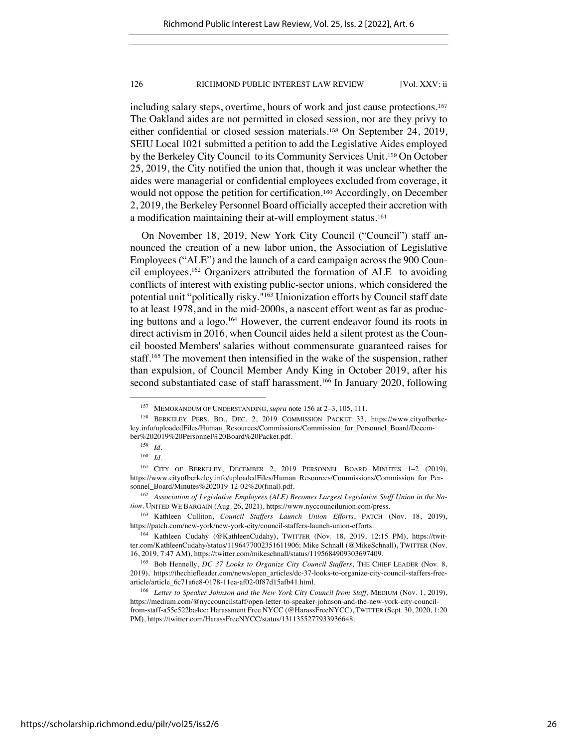including salary steps, overtime, hours of work and just cause protections.<sup>157</sup> The Oakland aides are not permitted in closed session, nor are they privy to either confidential or closed session materials.<sup>158</sup> On September 24, 2019, SEIU Local 1021 submitted a petition to add the Legislative Aides employed by the Berkeley City Council to its Community Services Unit.<sup>159</sup> On October 25, 2019, the City notified the union that, though it was unclear whether the aides were managerial or confidential employees excluded from coverage, it would not oppose the petition for certification.<sup>160</sup> Accordingly, on December 2, 2019, the Berkeley Personnel Board officially accepted their accretion with a modification maintaining their at-will employment status.<sup>161</sup>

On November 18, 2019, New York City Council ("Council") staff announced the creation of a new labor union, the Association of Legislative Employees ("ALE") and the launch of a card campaign across the 900 Council employees.162 Organizers attributed the formation of ALE to avoiding conflicts of interest with existing public-sector unions, which considered the potential unit "politically risky."163 Unionization efforts by Council staff date to at least 1978, and in the mid-2000s, a nascent effort went as far as producing buttons and a logo.164 However, the current endeavor found its roots in direct activism in 2016, when Council aides held a silent protest as the Council boosted Members' salaries without commensurate guaranteed raises for staff.165 The movement then intensified in the wake of the suspension, rather than expulsion, of Council Member Andy King in October 2019, after his second substantiated case of staff harassment.<sup>166</sup> In January 2020, following

<sup>157</sup> MEMORANDUM OF UNDERSTANDING, *supra* note 156 at 2–3, 105, 111.

<sup>158</sup> BERKELEY PERS. BD., DEC. 2, 2019 COMMISSION PACKET 33, https://www.cityofberkeley.info/uploadedFiles/Human\_Resources/Commissions/Commission\_for\_Personnel\_Board/December%202019%20Personnel%20Board%20Packet.pdf.

<sup>159</sup> *Id.*

<sup>160</sup> *Id.*

<sup>161</sup> CITY OF BERKELEY, DECEMBER 2, 2019 PERSONNEL BOARD MINUTES 1–2 (2019), https://www.cityofberkeley.info/uploadedFiles/Human\_Resources/Commissions/Commission\_for\_Personnel\_Board/Minutes%202019-12-02%20(final).pdf.

<sup>162</sup> *Association of Legislative Employees (ALE) Becomes Largest Legislative Staff Union in the Nation*, UNITED WE BARGAIN (Aug. 26, 2021), https://www.nyccouncilunion.com/press.

<sup>163</sup> Kathleen Culliton, *Council Staffers Launch Union Efforts*, PATCH (Nov. 18, 2019), https://patch.com/new-york/new-york-city/council-staffers-launch-union-efforts.

<sup>164</sup> Kathleen Cudahy (@KathleenCudahy), TWITTER (Nov. 18, 2019, 12:15 PM), https://twitter.com/KathleenCudahy/status/1196477002351611906; Mike Schnall (@MikeSchnall), TWITTER (Nov. 16, 2019, 7:47 AM), https://twitter.com/mikeschnall/status/1195684909303697409.

<sup>165</sup> Bob Hennelly, *DC 37 Looks to Organize City Council Staffers*, THE CHIEF LEADER (Nov. 8, 2019), https://thechiefleader.com/news/open\_articles/dc-37-looks-to-organize-city-council-staffers-freearticle/article\_6c71a6e8-0178-11ea-af02-0f87d15afb41.html.

<sup>166</sup> *Letter to Speaker Johnson and the New York City Council from Staff*, MEDIUM (Nov. 1, 2019), https://medium.com/@nyccouncilstaff/open-letter-to-speaker-johnson-and-the-new-york-city-councilfrom-staff-a55c522ba4cc; Harassment Free NYCC (@HarassFreeNYCC), TWITTER (Sept. 30, 2020, 1:20 PM), https://twitter.com/HarassFreeNYCC/status/1311355277933936648.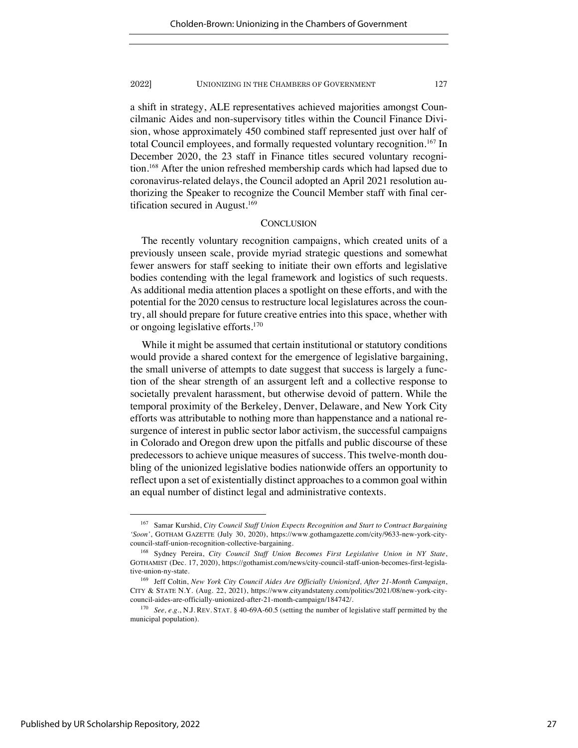a shift in strategy, ALE representatives achieved majorities amongst Councilmanic Aides and non-supervisory titles within the Council Finance Division, whose approximately 450 combined staff represented just over half of total Council employees, and formally requested voluntary recognition.<sup>167</sup> In December 2020, the 23 staff in Finance titles secured voluntary recognition.168 After the union refreshed membership cards which had lapsed due to coronavirus-related delays, the Council adopted an April 2021 resolution authorizing the Speaker to recognize the Council Member staff with final certification secured in August.<sup>169</sup>

# **CONCLUSION**

The recently voluntary recognition campaigns, which created units of a previously unseen scale, provide myriad strategic questions and somewhat fewer answers for staff seeking to initiate their own efforts and legislative bodies contending with the legal framework and logistics of such requests. As additional media attention places a spotlight on these efforts, and with the potential for the 2020 census to restructure local legislatures across the country, all should prepare for future creative entries into this space, whether with or ongoing legislative efforts.170

While it might be assumed that certain institutional or statutory conditions would provide a shared context for the emergence of legislative bargaining, the small universe of attempts to date suggest that success is largely a function of the shear strength of an assurgent left and a collective response to societally prevalent harassment, but otherwise devoid of pattern. While the temporal proximity of the Berkeley, Denver, Delaware, and New York City efforts was attributable to nothing more than happenstance and a national resurgence of interest in public sector labor activism, the successful campaigns in Colorado and Oregon drew upon the pitfalls and public discourse of these predecessors to achieve unique measures of success. This twelve-month doubling of the unionized legislative bodies nationwide offers an opportunity to reflect upon a set of existentially distinct approaches to a common goal within an equal number of distinct legal and administrative contexts.

<sup>167</sup> Samar Kurshid, *City Council Staff Union Expects Recognition and Start to Contract Bargaining 'Soon'*, GOTHAM GAZETTE (July 30, 2020), https://www.gothamgazette.com/city/9633-new-york-citycouncil-staff-union-recognition-collective-bargaining.

<sup>168</sup> Sydney Pereira, *City Council Staff Union Becomes First Legislative Union in NY State*, GOTHAMIST (Dec. 17, 2020), https://gothamist.com/news/city-council-staff-union-becomes-first-legislative-union-ny-state.

<sup>169</sup> Jeff Coltin, *New York City Council Aides Are Officially Unionized, After 21-Month Campaign*, CITY & STATE N.Y. (Aug. 22, 2021), https://www.cityandstateny.com/politics/2021/08/new-york-citycouncil-aides-are-officially-unionized-after-21-month-campaign/184742/.

<sup>170</sup> *See, e.g.*, N.J. REV. STAT. § 40-69A-60.5 (setting the number of legislative staff permitted by the municipal population).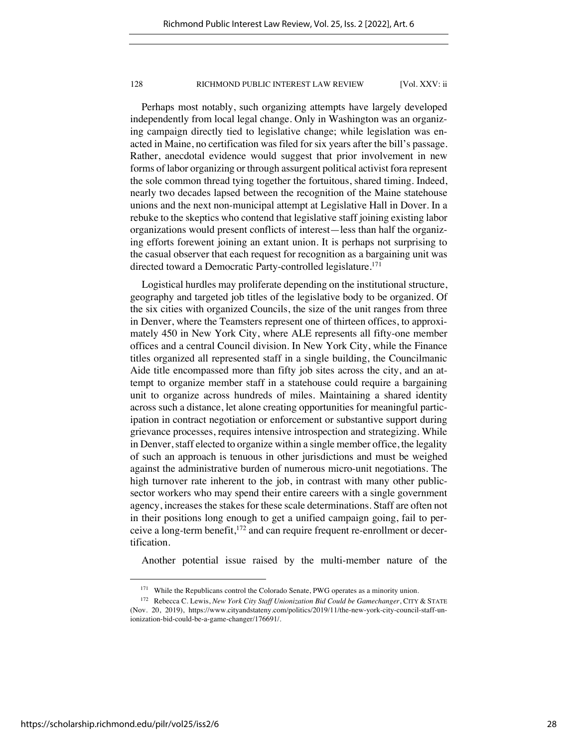Perhaps most notably, such organizing attempts have largely developed independently from local legal change. Only in Washington was an organizing campaign directly tied to legislative change; while legislation was enacted in Maine, no certification was filed for six years after the bill's passage. Rather, anecdotal evidence would suggest that prior involvement in new forms of labor organizing or through assurgent political activist fora represent the sole common thread tying together the fortuitous, shared timing. Indeed, nearly two decades lapsed between the recognition of the Maine statehouse unions and the next non-municipal attempt at Legislative Hall in Dover. In a rebuke to the skeptics who contend that legislative staff joining existing labor organizations would present conflicts of interest—less than half the organizing efforts forewent joining an extant union. It is perhaps not surprising to the casual observer that each request for recognition as a bargaining unit was directed toward a Democratic Party-controlled legislature.<sup>171</sup>

Logistical hurdles may proliferate depending on the institutional structure, geography and targeted job titles of the legislative body to be organized. Of the six cities with organized Councils, the size of the unit ranges from three in Denver, where the Teamsters represent one of thirteen offices, to approximately 450 in New York City, where ALE represents all fifty-one member offices and a central Council division. In New York City, while the Finance titles organized all represented staff in a single building, the Councilmanic Aide title encompassed more than fifty job sites across the city, and an attempt to organize member staff in a statehouse could require a bargaining unit to organize across hundreds of miles. Maintaining a shared identity across such a distance, let alone creating opportunities for meaningful participation in contract negotiation or enforcement or substantive support during grievance processes, requires intensive introspection and strategizing. While in Denver, staff elected to organize within a single member office, the legality of such an approach is tenuous in other jurisdictions and must be weighed against the administrative burden of numerous micro-unit negotiations. The high turnover rate inherent to the job, in contrast with many other publicsector workers who may spend their entire careers with a single government agency, increases the stakes for these scale determinations. Staff are often not in their positions long enough to get a unified campaign going, fail to perceive a long-term benefit,172 and can require frequent re-enrollment or decertification.

Another potential issue raised by the multi-member nature of the

<sup>&</sup>lt;sup>171</sup> While the Republicans control the Colorado Senate, PWG operates as a minority union.

<sup>172</sup> Rebecca C. Lewis, *New York City Staff Unionization Bid Could be Gamechanger*, CITY & STATE (Nov. 20, 2019), https://www.cityandstateny.com/politics/2019/11/the-new-york-city-council-staff-unionization-bid-could-be-a-game-changer/176691/.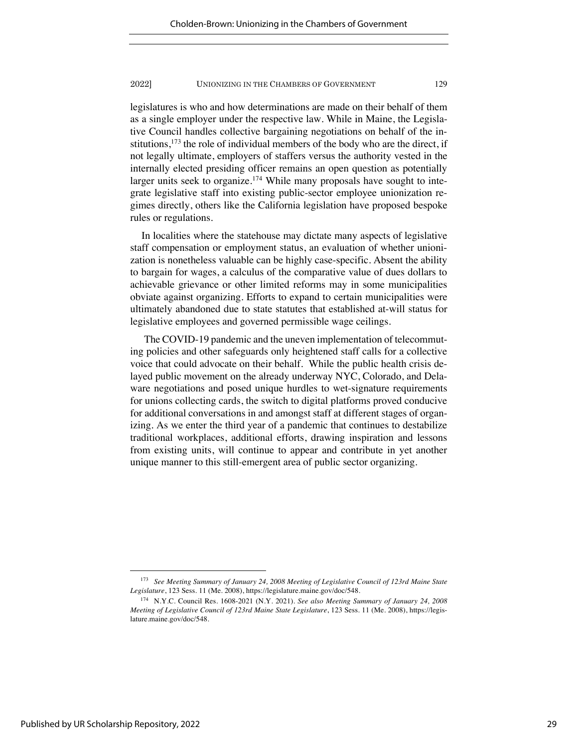legislatures is who and how determinations are made on their behalf of them as a single employer under the respective law. While in Maine, the Legislative Council handles collective bargaining negotiations on behalf of the institutions, $173$  the role of individual members of the body who are the direct, if not legally ultimate, employers of staffers versus the authority vested in the internally elected presiding officer remains an open question as potentially larger units seek to organize.<sup>174</sup> While many proposals have sought to integrate legislative staff into existing public-sector employee unionization regimes directly, others like the California legislation have proposed bespoke rules or regulations.

In localities where the statehouse may dictate many aspects of legislative staff compensation or employment status, an evaluation of whether unionization is nonetheless valuable can be highly case-specific. Absent the ability to bargain for wages, a calculus of the comparative value of dues dollars to achievable grievance or other limited reforms may in some municipalities obviate against organizing. Efforts to expand to certain municipalities were ultimately abandoned due to state statutes that established at-will status for legislative employees and governed permissible wage ceilings.

The COVID-19 pandemic and the uneven implementation of telecommuting policies and other safeguards only heightened staff calls for a collective voice that could advocate on their behalf. While the public health crisis delayed public movement on the already underway NYC, Colorado, and Delaware negotiations and posed unique hurdles to wet-signature requirements for unions collecting cards, the switch to digital platforms proved conducive for additional conversations in and amongst staff at different stages of organizing. As we enter the third year of a pandemic that continues to destabilize traditional workplaces, additional efforts, drawing inspiration and lessons from existing units, will continue to appear and contribute in yet another unique manner to this still-emergent area of public sector organizing.

<sup>173</sup> *See Meeting Summary of January 24, 2008 Meeting of Legislative Council of 123rd Maine State Legislature*, 123 Sess. 11 (Me. 2008), https://legislature.maine.gov/doc/548.

<sup>174</sup> N.Y.C. Council Res. 1608-2021 (N.Y. 2021). *See also Meeting Summary of January 24, 2008 Meeting of Legislative Council of 123rd Maine State Legislature*, 123 Sess. 11 (Me. 2008), https://legislature.maine.gov/doc/548.